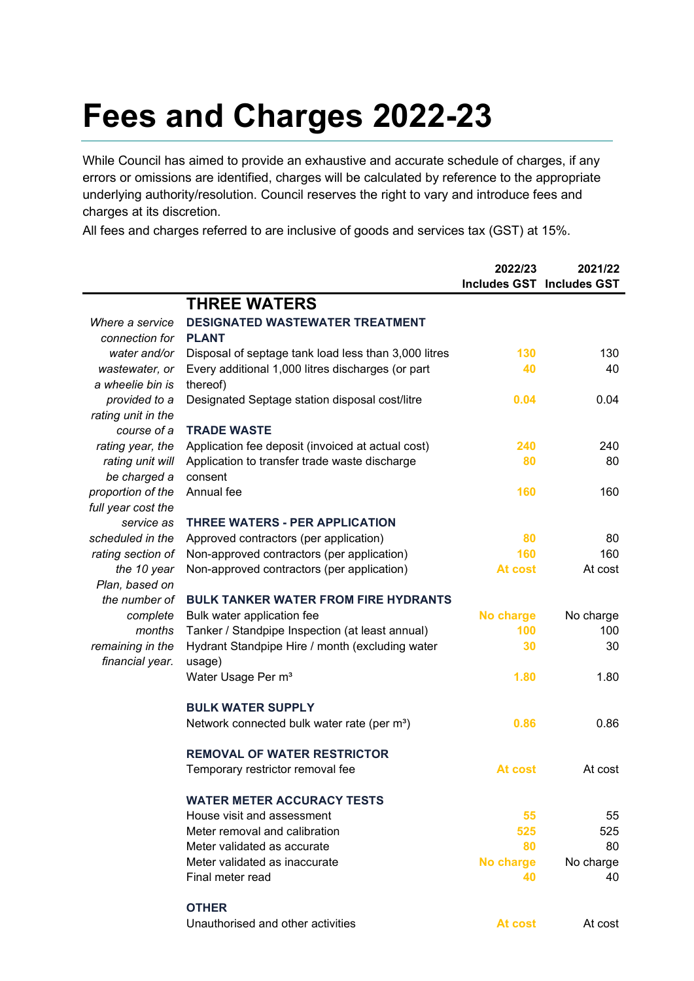## **Fees and Charges 2022-23**

While Council has aimed to provide an exhaustive and accurate schedule of charges, if any errors or omissions are identified, charges will be calculated by reference to the appropriate underlying authority/resolution. Council reserves the right to vary and introduce fees and charges at its discretion.

All fees and charges referred to are inclusive of goods and services tax (GST) at 15%.

|                    |                                                         | 2022/23   | 2021/22                          |
|--------------------|---------------------------------------------------------|-----------|----------------------------------|
|                    |                                                         |           | <b>Includes GST Includes GST</b> |
|                    | <b>THREE WATERS</b>                                     |           |                                  |
| Where a service    | <b>DESIGNATED WASTEWATER TREATMENT</b>                  |           |                                  |
| connection for     | <b>PLANT</b>                                            |           |                                  |
| water and/or       | Disposal of septage tank load less than 3,000 litres    | 130       | 130                              |
| wastewater, or     | Every additional 1,000 litres discharges (or part       | 40        | 40                               |
| a wheelie bin is   | thereof)                                                |           |                                  |
| provided to a      | Designated Septage station disposal cost/litre          | 0.04      | 0.04                             |
| rating unit in the |                                                         |           |                                  |
| course of a        | <b>TRADE WASTE</b>                                      |           |                                  |
| rating year, the   | Application fee deposit (invoiced at actual cost)       | 240       | 240                              |
| rating unit will   | Application to transfer trade waste discharge           | 80        | 80                               |
| be charged a       | consent                                                 |           |                                  |
| proportion of the  | Annual fee                                              | 160       | 160                              |
| full year cost the |                                                         |           |                                  |
| service as         | <b>THREE WATERS - PER APPLICATION</b>                   |           |                                  |
| scheduled in the   | Approved contractors (per application)                  | 80        | 80                               |
| rating section of  | Non-approved contractors (per application)              | 160       | 160                              |
| the 10 year        | Non-approved contractors (per application)              | At cost   | At cost                          |
| Plan, based on     |                                                         |           |                                  |
| the number of      | <b>BULK TANKER WATER FROM FIRE HYDRANTS</b>             |           |                                  |
| complete           | Bulk water application fee                              | No charge | No charge                        |
| months             | Tanker / Standpipe Inspection (at least annual)         | 100       | 100                              |
| remaining in the   | Hydrant Standpipe Hire / month (excluding water         | 30        | 30                               |
| financial year.    | usage)                                                  |           |                                  |
|                    | Water Usage Per m <sup>3</sup>                          | 1.80      | 1.80                             |
|                    |                                                         |           |                                  |
|                    | <b>BULK WATER SUPPLY</b>                                |           |                                  |
|                    | Network connected bulk water rate (per m <sup>3</sup> ) | 0.86      | 0.86                             |
|                    |                                                         |           |                                  |
|                    | <b>REMOVAL OF WATER RESTRICTOR</b>                      |           |                                  |
|                    | Temporary restrictor removal fee                        | At cost   | At cost                          |
|                    |                                                         |           |                                  |
|                    | <b>WATER METER ACCURACY TESTS</b>                       |           |                                  |
|                    | House visit and assessment                              | 55        | 55                               |
|                    | Meter removal and calibration                           | 525       | 525                              |
|                    | Meter validated as accurate                             | 80        | 80                               |
|                    | Meter validated as inaccurate                           | No charge | No charge                        |
|                    | Final meter read                                        | 40        | 40                               |
|                    |                                                         |           |                                  |
|                    | <b>OTHER</b>                                            |           |                                  |
|                    | Unauthorised and other activities                       | At cost   | At cost                          |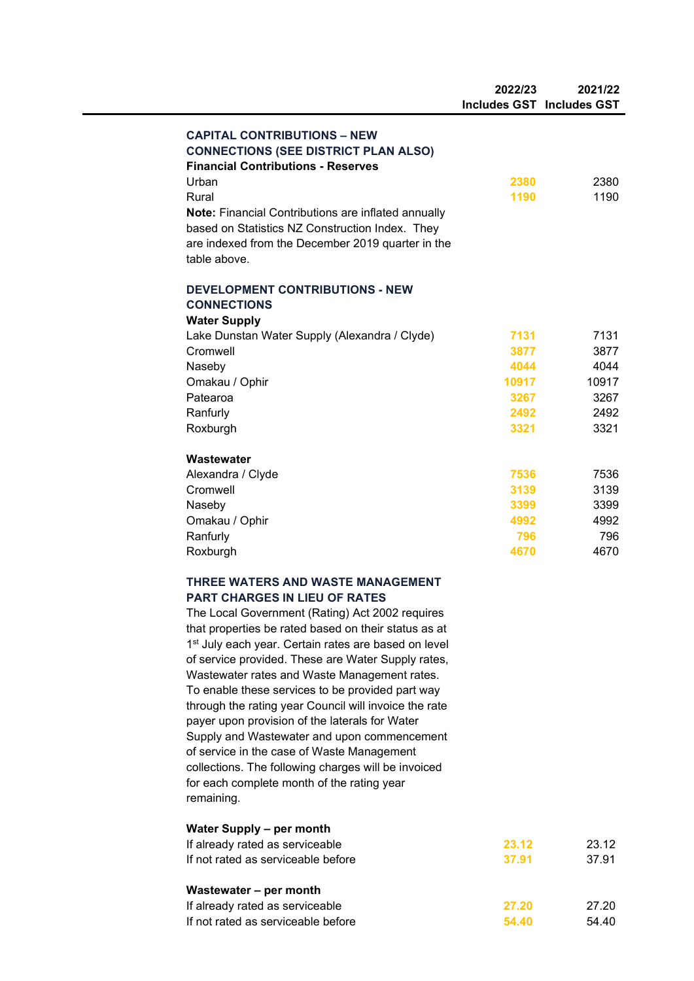|                     |                                                                                                         | 2022/23 | 2021/22<br><b>Includes GST Includes GST</b> |
|---------------------|---------------------------------------------------------------------------------------------------------|---------|---------------------------------------------|
|                     |                                                                                                         |         |                                             |
|                     | <b>CAPITAL CONTRIBUTIONS - NEW</b>                                                                      |         |                                             |
|                     | <b>CONNECTIONS (SEE DISTRICT PLAN ALSO)</b><br><b>Financial Contributions - Reserves</b>                |         |                                             |
| Urban               |                                                                                                         | 2380    | 2380                                        |
| Rural               |                                                                                                         | 1190    | 1190                                        |
|                     | Note: Financial Contributions are inflated annually                                                     |         |                                             |
|                     | based on Statistics NZ Construction Index. They                                                         |         |                                             |
|                     | are indexed from the December 2019 quarter in the                                                       |         |                                             |
| table above.        |                                                                                                         |         |                                             |
|                     |                                                                                                         |         |                                             |
|                     | <b>DEVELOPMENT CONTRIBUTIONS - NEW</b>                                                                  |         |                                             |
| <b>CONNECTIONS</b>  |                                                                                                         |         |                                             |
| <b>Water Supply</b> |                                                                                                         |         |                                             |
|                     | Lake Dunstan Water Supply (Alexandra / Clyde)                                                           | 7131    | 7131                                        |
| Cromwell            |                                                                                                         | 3877    | 3877                                        |
| Naseby              |                                                                                                         | 4044    | 4044                                        |
| Omakau / Ophir      |                                                                                                         | 10917   | 10917                                       |
| Patearoa            |                                                                                                         | 3267    | 3267                                        |
| Ranfurly            |                                                                                                         | 2492    | 2492                                        |
| Roxburgh            |                                                                                                         | 3321    | 3321                                        |
| Wastewater          |                                                                                                         |         |                                             |
| Alexandra / Clyde   |                                                                                                         | 7536    | 7536                                        |
| Cromwell            |                                                                                                         | 3139    | 3139                                        |
| Naseby              |                                                                                                         | 3399    | 3399                                        |
| Omakau / Ophir      |                                                                                                         | 4992    | 4992                                        |
| Ranfurly            |                                                                                                         | 796     | 796                                         |
| Roxburgh            |                                                                                                         | 4670    | 4670                                        |
|                     | THREE WATERS AND WASTE MANAGEMENT                                                                       |         |                                             |
|                     | PART CHARGES IN LIEU OF RATES                                                                           |         |                                             |
|                     | The Local Government (Rating) Act 2002 requires                                                         |         |                                             |
|                     | that properties be rated based on their status as at                                                    |         |                                             |
|                     | 1 <sup>st</sup> July each year. Certain rates are based on level                                        |         |                                             |
|                     | of service provided. These are Water Supply rates,                                                      |         |                                             |
|                     | Wastewater rates and Waste Management rates.                                                            |         |                                             |
|                     | To enable these services to be provided part way                                                        |         |                                             |
|                     | through the rating year Council will invoice the rate<br>payer upon provision of the laterals for Water |         |                                             |
|                     | Supply and Wastewater and upon commencement                                                             |         |                                             |
|                     | of service in the case of Waste Management                                                              |         |                                             |
|                     | collections. The following charges will be invoiced                                                     |         |                                             |
|                     | for each complete month of the rating year                                                              |         |                                             |
| remaining.          |                                                                                                         |         |                                             |
|                     | <b>Water Supply - per month</b>                                                                         |         |                                             |
|                     | If already rated as serviceable                                                                         | 23.12   | 23.12                                       |
|                     | If not rated as serviceable before                                                                      | 37.91   | 37.91                                       |
|                     | Wastewater - per month                                                                                  |         |                                             |
|                     | If already rated as serviceable                                                                         | 27.20   | 27.20                                       |
|                     | If not rated as serviceable before                                                                      | 54.40   | 54.40                                       |
|                     |                                                                                                         |         |                                             |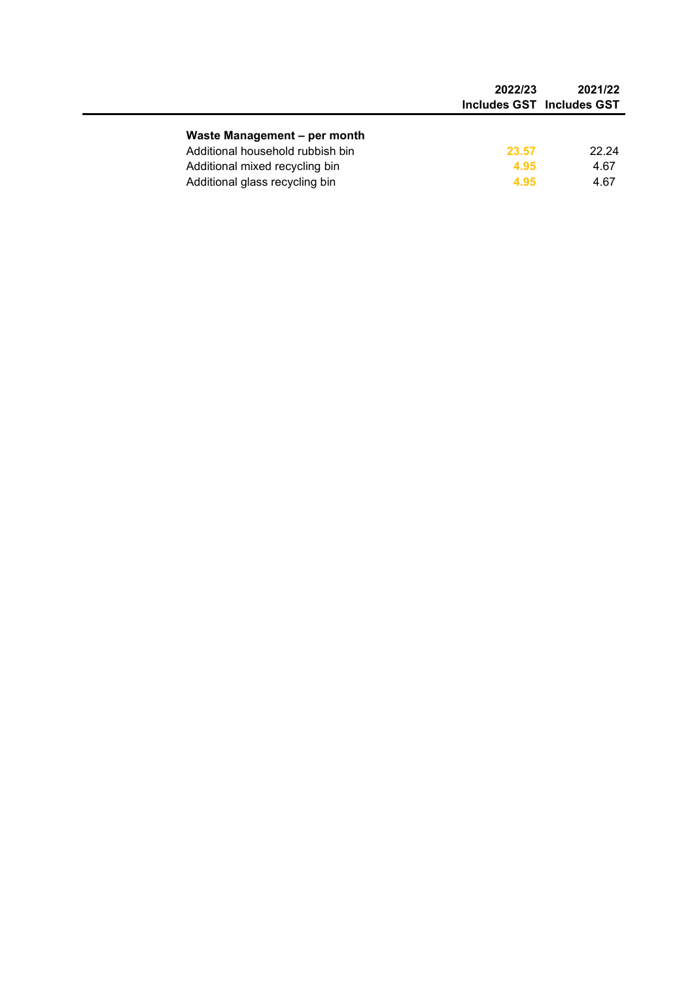|                                  | 2022/23 | 2021/22<br>Includes GST Includes GST |
|----------------------------------|---------|--------------------------------------|
| Waste Management - per month     |         |                                      |
| Additional household rubbish bin | 23.57   | 22.24                                |
| Additional mixed recycling bin   | 4.95    | 4.67                                 |
| Additional glass recycling bin   | 4.95    | 4.67                                 |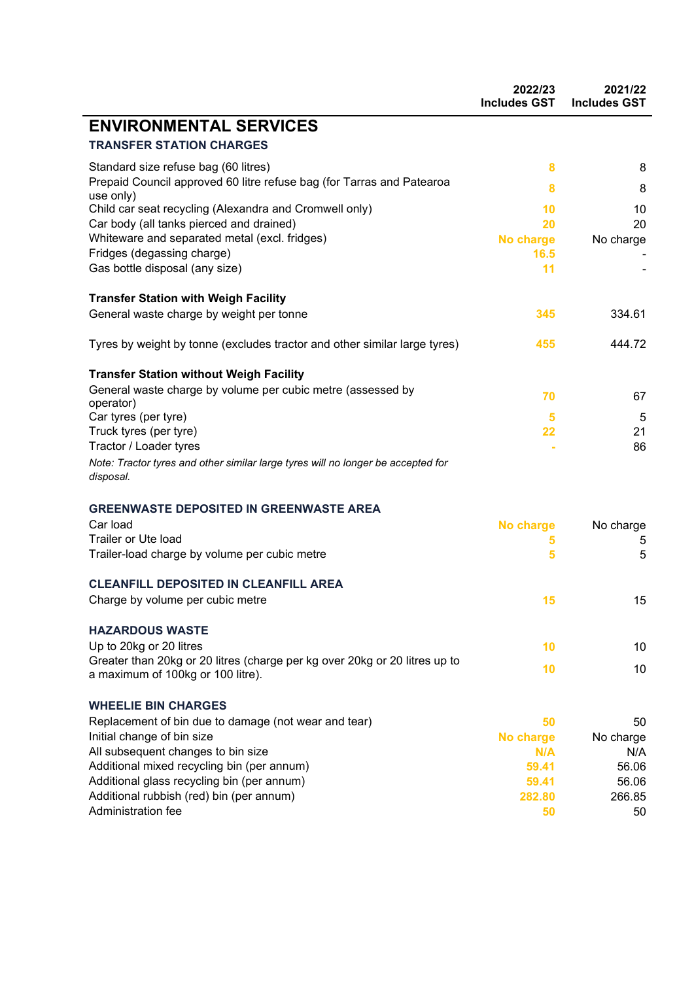|                                                                                                                 | 2022/23<br><b>Includes GST</b> | 2021/22<br><b>Includes GST</b> |
|-----------------------------------------------------------------------------------------------------------------|--------------------------------|--------------------------------|
| <b>ENVIRONMENTAL SERVICES</b>                                                                                   |                                |                                |
| <b>TRANSFER STATION CHARGES</b>                                                                                 |                                |                                |
| Standard size refuse bag (60 litres)                                                                            | 8                              | 8                              |
| Prepaid Council approved 60 litre refuse bag (for Tarras and Patearoa                                           | 8                              | 8                              |
| use only)<br>Child car seat recycling (Alexandra and Cromwell only)                                             | 10                             | 10                             |
| Car body (all tanks pierced and drained)                                                                        | 20                             | 20                             |
| Whiteware and separated metal (excl. fridges)                                                                   | No charge                      | No charge                      |
| Fridges (degassing charge)                                                                                      | 16.5                           |                                |
| Gas bottle disposal (any size)                                                                                  | 11                             |                                |
| <b>Transfer Station with Weigh Facility</b>                                                                     |                                |                                |
| General waste charge by weight per tonne                                                                        | 345                            | 334.61                         |
| Tyres by weight by tonne (excludes tractor and other similar large tyres)                                       | 455                            | 444.72                         |
| <b>Transfer Station without Weigh Facility</b>                                                                  |                                |                                |
| General waste charge by volume per cubic metre (assessed by                                                     | 70                             | 67                             |
| operator)                                                                                                       |                                |                                |
| Car tyres (per tyre)<br>Truck tyres (per tyre)                                                                  | 5<br>22                        | 5<br>21                        |
| Tractor / Loader tyres                                                                                          |                                | 86                             |
| Note: Tractor tyres and other similar large tyres will no longer be accepted for<br>disposal.                   |                                |                                |
| <b>GREENWASTE DEPOSITED IN GREENWASTE AREA</b>                                                                  |                                |                                |
| Car load                                                                                                        | <b>No charge</b>               | No charge                      |
| Trailer or Ute load                                                                                             | 5                              | 5                              |
| Trailer-load charge by volume per cubic metre                                                                   | 5                              | 5                              |
| <b>CLEANFILL DEPOSITED IN CLEANFILL AREA</b>                                                                    |                                |                                |
| Charge by volume per cubic metre                                                                                | 15                             | 15                             |
| <b>HAZARDOUS WASTE</b>                                                                                          |                                |                                |
| Up to 20kg or 20 litres                                                                                         | 10                             | 10 <sup>°</sup>                |
| Greater than 20kg or 20 litres (charge per kg over 20kg or 20 litres up to<br>a maximum of 100kg or 100 litre). | 10                             | 10                             |
| <b>WHEELIE BIN CHARGES</b>                                                                                      |                                |                                |
| Replacement of bin due to damage (not wear and tear)                                                            | 50                             | 50                             |
| Initial change of bin size                                                                                      | <b>No charge</b>               | No charge                      |
| All subsequent changes to bin size                                                                              | N/A                            | N/A                            |
| Additional mixed recycling bin (per annum)                                                                      | 59.41                          | 56.06                          |
| Additional glass recycling bin (per annum)<br>Additional rubbish (red) bin (per annum)                          | 59.41<br>282.80                | 56.06<br>266.85                |
| Administration fee                                                                                              | 50                             | 50                             |
|                                                                                                                 |                                |                                |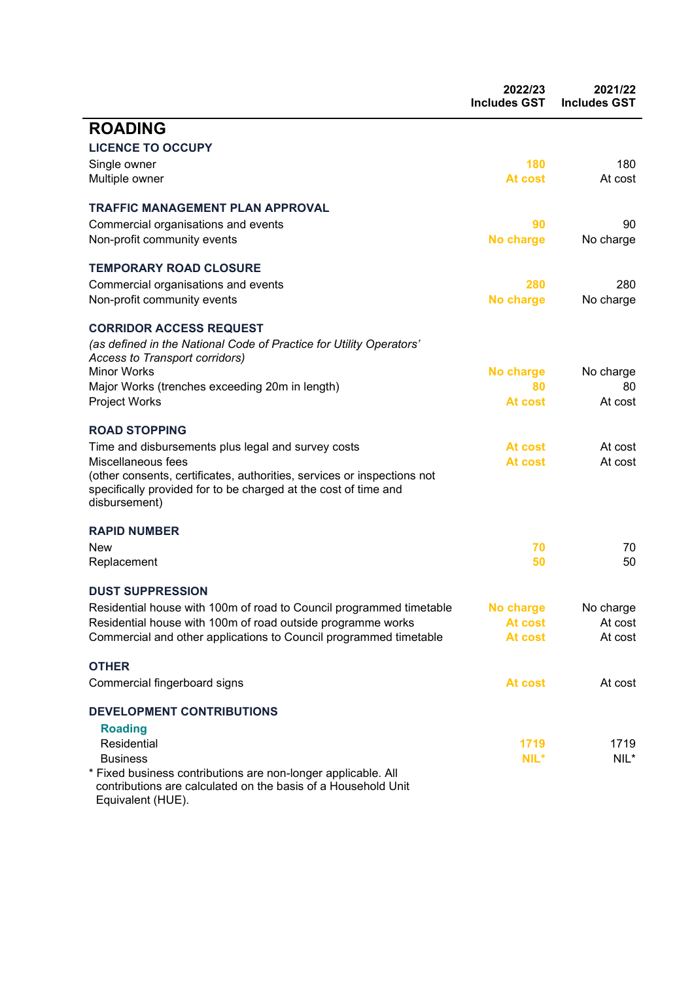|                                                                                                                                                             | 2022/23<br><b>Includes GST</b> | 2021/22<br><b>Includes GST</b> |
|-------------------------------------------------------------------------------------------------------------------------------------------------------------|--------------------------------|--------------------------------|
| <b>ROADING</b>                                                                                                                                              |                                |                                |
| <b>LICENCE TO OCCUPY</b>                                                                                                                                    |                                |                                |
| Single owner                                                                                                                                                | 180                            | 180                            |
| Multiple owner                                                                                                                                              | At cost                        | At cost                        |
| <b>TRAFFIC MANAGEMENT PLAN APPROVAL</b>                                                                                                                     |                                |                                |
| Commercial organisations and events                                                                                                                         | 90                             | 90                             |
| Non-profit community events                                                                                                                                 | No charge                      | No charge                      |
| <b>TEMPORARY ROAD CLOSURE</b>                                                                                                                               |                                |                                |
| Commercial organisations and events                                                                                                                         | 280                            | 280                            |
| Non-profit community events                                                                                                                                 | No charge                      | No charge                      |
|                                                                                                                                                             |                                |                                |
| <b>CORRIDOR ACCESS REQUEST</b>                                                                                                                              |                                |                                |
| (as defined in the National Code of Practice for Utility Operators'<br>Access to Transport corridors)                                                       |                                |                                |
| <b>Minor Works</b>                                                                                                                                          | No charge                      | No charge                      |
| Major Works (trenches exceeding 20m in length)                                                                                                              | 80                             | 80                             |
| Project Works                                                                                                                                               | At cost                        | At cost                        |
| <b>ROAD STOPPING</b>                                                                                                                                        |                                |                                |
| Time and disbursements plus legal and survey costs                                                                                                          | At cost                        | At cost                        |
| Miscellaneous fees                                                                                                                                          | At cost                        | At cost                        |
| (other consents, certificates, authorities, services or inspections not<br>specifically provided for to be charged at the cost of time and<br>disbursement) |                                |                                |
| <b>RAPID NUMBER</b>                                                                                                                                         |                                |                                |
| New                                                                                                                                                         | 70                             | 70                             |
| Replacement                                                                                                                                                 | 50                             | 50                             |
| <b>DUST SUPPRESSION</b>                                                                                                                                     |                                |                                |
| Residential house with 100m of road to Council programmed timetable                                                                                         | No charge                      | No charge                      |
| Residential house with 100m of road outside programme works                                                                                                 | At cost                        | At cost                        |
| Commercial and other applications to Council programmed timetable                                                                                           | At cost                        | At cost                        |
| <b>OTHER</b>                                                                                                                                                |                                |                                |
| Commercial fingerboard signs                                                                                                                                | At cost                        | At cost                        |
| <b>DEVELOPMENT CONTRIBUTIONS</b>                                                                                                                            |                                |                                |
|                                                                                                                                                             |                                |                                |
| <b>Roading</b>                                                                                                                                              |                                |                                |
| Residential<br><b>Business</b>                                                                                                                              | 1719<br>NIL*                   | 1719<br>$NIL^*$                |
| * Fixed business contributions are non-longer applicable. All                                                                                               |                                |                                |
| contributions are calculated on the basis of a Household Unit<br>Equivalent (HUE).                                                                          |                                |                                |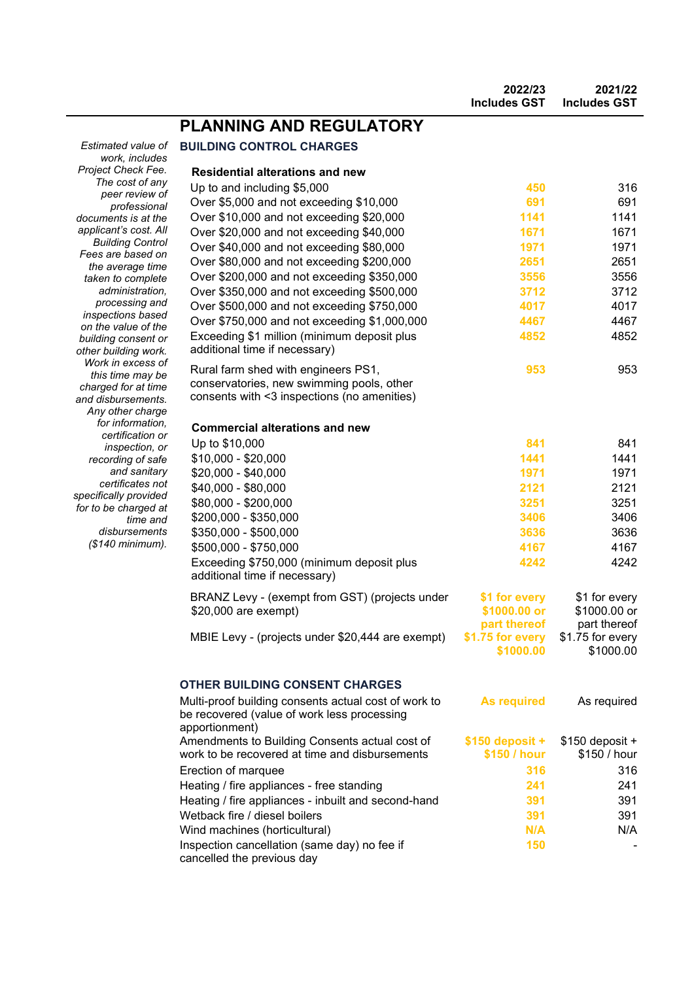|                                                  |                                                                                                                       | 2022/23<br><b>Includes GST</b>   | 2021/22<br><b>Includes GST</b>   |
|--------------------------------------------------|-----------------------------------------------------------------------------------------------------------------------|----------------------------------|----------------------------------|
|                                                  | <b>PLANNING AND REGULATORY</b>                                                                                        |                                  |                                  |
| Estimated value of                               | <b>BUILDING CONTROL CHARGES</b>                                                                                       |                                  |                                  |
| work, includes                                   |                                                                                                                       |                                  |                                  |
| Project Check Fee.<br>The cost of any            | <b>Residential alterations and new</b>                                                                                |                                  |                                  |
| peer review of                                   | Up to and including \$5,000                                                                                           | 450                              | 316                              |
| professional                                     | Over \$5,000 and not exceeding \$10,000                                                                               | 691                              | 691                              |
| documents is at the                              | Over \$10,000 and not exceeding \$20,000                                                                              | 1141                             | 1141                             |
| applicant's cost. All<br><b>Building Control</b> | Over \$20,000 and not exceeding \$40,000                                                                              | 1671                             | 1671                             |
| Fees are based on                                | Over \$40,000 and not exceeding \$80,000                                                                              | 1971                             | 1971                             |
| the average time                                 | Over \$80,000 and not exceeding \$200,000                                                                             | 2651                             | 2651                             |
| taken to complete                                | Over \$200,000 and not exceeding \$350,000                                                                            | 3556                             | 3556                             |
| administration,                                  | Over \$350,000 and not exceeding \$500,000                                                                            | 3712                             | 3712                             |
| processing and                                   | Over \$500,000 and not exceeding \$750,000                                                                            | 4017                             | 4017                             |
| inspections based<br>on the value of the         | Over \$750,000 and not exceeding \$1,000,000                                                                          | 4467                             | 4467                             |
| building consent or                              | Exceeding \$1 million (minimum deposit plus                                                                           | 4852                             | 4852                             |
| other building work.                             | additional time if necessary)                                                                                         |                                  |                                  |
| Work in excess of                                | Rural farm shed with engineers PS1,                                                                                   | 953                              | 953                              |
| this time may be                                 | conservatories, new swimming pools, other                                                                             |                                  |                                  |
| charged for at time<br>and disbursements.        | consents with <3 inspections (no amenities)                                                                           |                                  |                                  |
| Any other charge                                 |                                                                                                                       |                                  |                                  |
| for information,                                 | <b>Commercial alterations and new</b>                                                                                 |                                  |                                  |
| certification or                                 | Up to \$10,000                                                                                                        | 841                              | 841                              |
| inspection, or                                   | \$10,000 - \$20,000                                                                                                   | 1441                             | 1441                             |
| recording of safe<br>and sanitary                | \$20,000 - \$40,000                                                                                                   | 1971                             | 1971                             |
| certificates not                                 |                                                                                                                       | 2121                             | 2121                             |
| specifically provided                            | \$40,000 - \$80,000                                                                                                   |                                  |                                  |
| for to be charged at                             | \$80,000 - \$200,000                                                                                                  | 3251                             | 3251                             |
| time and                                         | \$200,000 - \$350,000                                                                                                 | 3406                             | 3406                             |
| disbursements<br>(\$140 minimum).                | \$350,000 - \$500,000                                                                                                 | 3636                             | 3636                             |
|                                                  | \$500,000 - \$750,000                                                                                                 | 4167                             | 4167                             |
|                                                  | Exceeding \$750,000 (minimum deposit plus<br>additional time if necessary)                                            | 4242                             | 4242                             |
|                                                  | BRANZ Levy - (exempt from GST) (projects under                                                                        | \$1 for every                    | \$1 for every                    |
|                                                  | \$20,000 are exempt)                                                                                                  | \$1000.00 or                     | \$1000.00 or                     |
|                                                  |                                                                                                                       | part thereof                     | part thereof                     |
|                                                  | MBIE Levy - (projects under \$20,444 are exempt)                                                                      | \$1.75 for every                 | \$1.75 for every                 |
|                                                  |                                                                                                                       | \$1000.00                        | \$1000.00                        |
|                                                  | <b>OTHER BUILDING CONSENT CHARGES</b>                                                                                 |                                  |                                  |
|                                                  | Multi-proof building consents actual cost of work to<br>be recovered (value of work less processing<br>apportionment) | <b>As required</b>               | As required                      |
|                                                  | Amendments to Building Consents actual cost of<br>work to be recovered at time and disbursements                      | $$150$ deposit +<br>\$150 / hour | $$150$ deposit +<br>\$150 / hour |
|                                                  | Erection of marquee                                                                                                   | 316                              | 316                              |
|                                                  | Heating / fire appliances - free standing                                                                             | 241                              | 241                              |
|                                                  | Heating / fire appliances - inbuilt and second-hand                                                                   | 391                              | 391                              |
|                                                  | Wetback fire / diesel boilers                                                                                         | 391                              | 391                              |
|                                                  | Wind machines (horticultural)                                                                                         | N/A                              | N/A                              |
|                                                  | Inspection cancellation (same day) no fee if                                                                          | 150                              |                                  |
|                                                  | cancelled the previous day                                                                                            |                                  |                                  |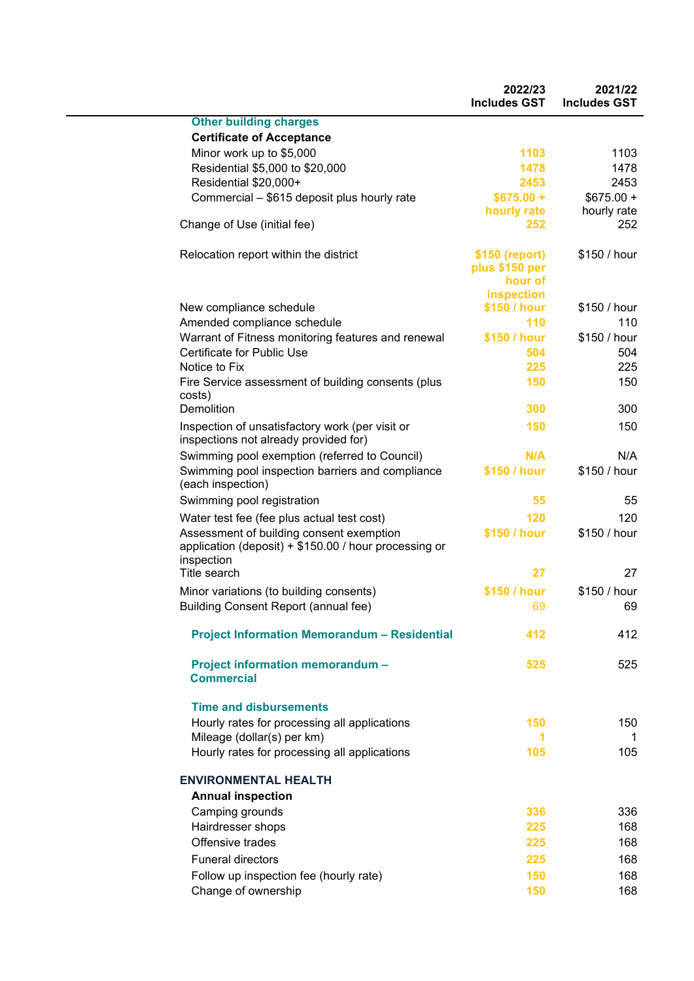|                                                                                                                 | 2022/23<br><b>Includes GST</b>                            | 2021/22<br><b>Includes GST</b> |
|-----------------------------------------------------------------------------------------------------------------|-----------------------------------------------------------|--------------------------------|
| <b>Other building charges</b>                                                                                   |                                                           |                                |
| <b>Certificate of Acceptance</b>                                                                                |                                                           |                                |
| Minor work up to \$5,000                                                                                        | 1103                                                      | 1103                           |
| Residential \$5,000 to \$20,000                                                                                 | 1478                                                      | 1478                           |
| Residential \$20,000+                                                                                           | 2453                                                      | 2453                           |
| Commercial - \$615 deposit plus hourly rate                                                                     | $$675.00 +$                                               | $$675.00 +$                    |
|                                                                                                                 | hourly rate                                               | hourly rate                    |
| Change of Use (initial fee)                                                                                     | 252                                                       | 252                            |
| Relocation report within the district                                                                           | \$150 (report)<br>plus \$150 per<br>hour of<br>inspection | \$150 / hour                   |
| New compliance schedule                                                                                         | \$150 / hour                                              | \$150 / hour                   |
| Amended compliance schedule                                                                                     | 110                                                       | 110                            |
| Warrant of Fitness monitoring features and renewal                                                              | \$150 / hour                                              | \$150 / hour                   |
| Certificate for Public Use                                                                                      | 504                                                       | 504                            |
| Notice to Fix                                                                                                   | 225                                                       | 225                            |
| Fire Service assessment of building consents (plus<br>costs)                                                    | 150                                                       | 150                            |
| Demolition                                                                                                      | 300                                                       | 300                            |
| Inspection of unsatisfactory work (per visit or<br>inspections not already provided for)                        | 150                                                       | 150                            |
| Swimming pool exemption (referred to Council)                                                                   | N/A                                                       | N/A                            |
| Swimming pool inspection barriers and compliance<br>(each inspection)                                           | \$150 / hour                                              | \$150 / hour                   |
| Swimming pool registration                                                                                      | 55                                                        | 55                             |
| Water test fee (fee plus actual test cost)                                                                      | 120                                                       | 120                            |
| Assessment of building consent exemption<br>application (deposit) + \$150.00 / hour processing or<br>inspection | \$150 / hour                                              | \$150 / hour                   |
| Title search                                                                                                    | 27                                                        | 27                             |
| Minor variations (to building consents)<br><b>Building Consent Report (annual fee)</b>                          | \$150 / hour<br>-69                                       | \$150 / hour<br>69             |
| <b>Project Information Memorandum - Residential</b>                                                             | 412                                                       | 412                            |
| <b>Project information memorandum -</b><br><b>Commercial</b>                                                    | 525                                                       | 525                            |
| <b>Time and disbursements</b>                                                                                   |                                                           |                                |
| Hourly rates for processing all applications                                                                    | 150                                                       | 150                            |
| Mileage (dollar(s) per km)                                                                                      | 1                                                         | 1                              |
| Hourly rates for processing all applications                                                                    | 105                                                       | 105                            |
| <b>ENVIRONMENTAL HEALTH</b>                                                                                     |                                                           |                                |
| <b>Annual inspection</b>                                                                                        |                                                           |                                |
| Camping grounds                                                                                                 | 336                                                       | 336                            |
| Hairdresser shops                                                                                               | 225                                                       | 168                            |
| Offensive trades                                                                                                | 225                                                       | 168                            |
| <b>Funeral directors</b>                                                                                        | 225                                                       | 168                            |
| Follow up inspection fee (hourly rate)                                                                          | 150                                                       | 168                            |
| Change of ownership                                                                                             | 150                                                       | 168                            |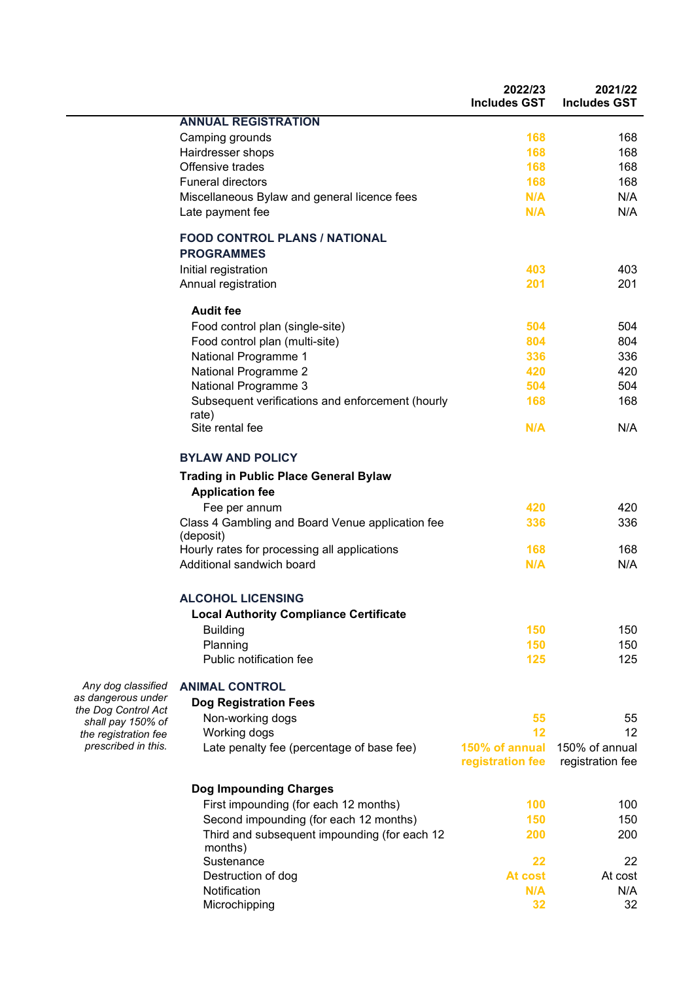|                                          |                                                                        | 2022/23<br><b>Includes GST</b>     | 2021/22<br><b>Includes GST</b>     |
|------------------------------------------|------------------------------------------------------------------------|------------------------------------|------------------------------------|
|                                          | <b>ANNUAL REGISTRATION</b>                                             |                                    |                                    |
|                                          | Camping grounds                                                        | 168                                | 168                                |
|                                          | Hairdresser shops                                                      | 168                                | 168                                |
|                                          | Offensive trades                                                       | 168                                | 168                                |
|                                          | <b>Funeral directors</b>                                               | 168                                | 168                                |
|                                          | Miscellaneous Bylaw and general licence fees                           | N/A                                | N/A                                |
|                                          | Late payment fee                                                       | N/A                                | N/A                                |
|                                          | <b>FOOD CONTROL PLANS / NATIONAL</b><br><b>PROGRAMMES</b>              |                                    |                                    |
|                                          | Initial registration                                                   | 403                                | 403                                |
|                                          | Annual registration                                                    | 201                                | 201                                |
|                                          | <b>Audit fee</b>                                                       |                                    |                                    |
|                                          | Food control plan (single-site)                                        | 504                                | 504                                |
|                                          | Food control plan (multi-site)                                         | 804                                | 804                                |
|                                          | National Programme 1                                                   | 336                                | 336                                |
|                                          | National Programme 2                                                   | 420                                | 420                                |
|                                          | National Programme 3                                                   | 504                                | 504                                |
|                                          | Subsequent verifications and enforcement (hourly<br>rate)              | 168                                | 168                                |
|                                          | Site rental fee                                                        | N/A                                | N/A                                |
|                                          | <b>BYLAW AND POLICY</b>                                                |                                    |                                    |
|                                          | <b>Trading in Public Place General Bylaw</b><br><b>Application fee</b> |                                    |                                    |
|                                          | Fee per annum                                                          | 420                                | 420                                |
|                                          | Class 4 Gambling and Board Venue application fee<br>(deposit)          | 336                                | 336                                |
|                                          | Hourly rates for processing all applications                           | 168                                | 168                                |
|                                          | Additional sandwich board                                              | N/A                                | N/A                                |
|                                          | <b>ALCOHOL LICENSING</b>                                               |                                    |                                    |
|                                          | <b>Local Authority Compliance Certificate</b>                          |                                    |                                    |
|                                          | <b>Building</b>                                                        | 150                                | 150                                |
|                                          | Planning                                                               | 150                                | 150                                |
|                                          | Public notification fee                                                | 125                                | 125                                |
| Any dog classified                       | <b>ANIMAL CONTROL</b>                                                  |                                    |                                    |
| as dangerous under                       | <b>Dog Registration Fees</b>                                           |                                    |                                    |
| the Dog Control Act<br>shall pay 150% of | Non-working dogs                                                       | 55                                 | 55                                 |
| the registration fee                     | Working dogs                                                           | 12                                 | 12                                 |
| prescribed in this.                      | Late penalty fee (percentage of base fee)                              | 150% of annual<br>registration fee | 150% of annual<br>registration fee |
|                                          | <b>Dog Impounding Charges</b>                                          |                                    |                                    |
|                                          | First impounding (for each 12 months)                                  | 100                                | 100                                |
|                                          | Second impounding (for each 12 months)                                 | 150                                | 150                                |
|                                          | Third and subsequent impounding (for each 12                           | 200                                | 200                                |
|                                          | months)                                                                |                                    |                                    |
|                                          | Sustenance                                                             | 22                                 | 22                                 |
|                                          | Destruction of dog                                                     | At cost                            | At cost                            |
|                                          | Notification                                                           | N/A                                | N/A                                |
|                                          | Microchipping                                                          | 32                                 | 32                                 |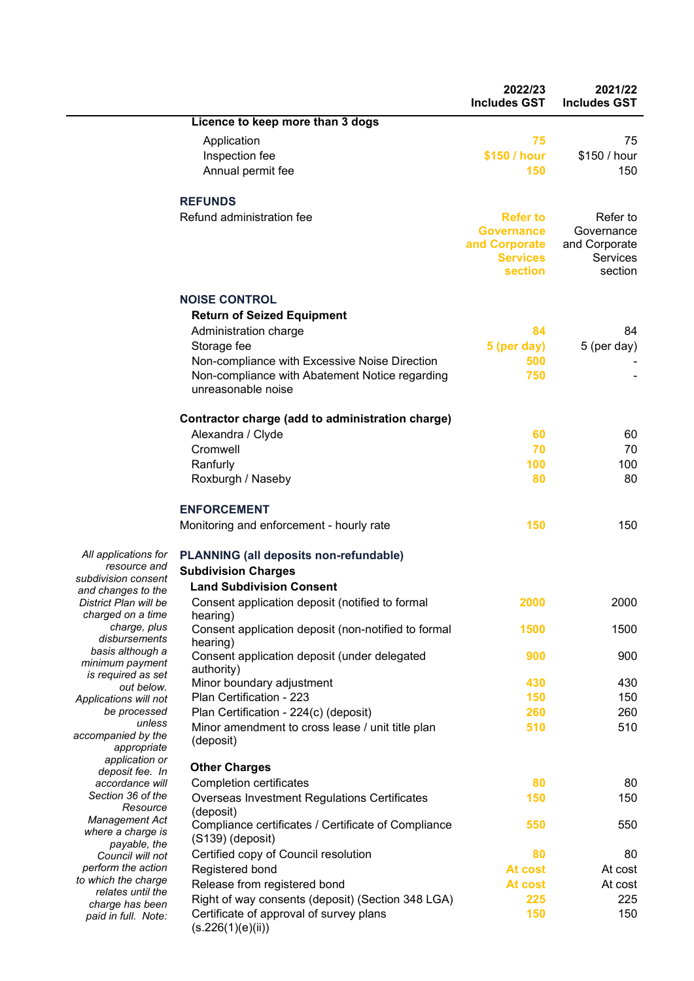|                                            |                                                                                              | 2022/23<br><b>Includes GST</b> | 2021/22<br><b>Includes GST</b> |
|--------------------------------------------|----------------------------------------------------------------------------------------------|--------------------------------|--------------------------------|
|                                            | Licence to keep more than 3 dogs                                                             |                                |                                |
|                                            | Application                                                                                  | 75                             | 75                             |
|                                            | Inspection fee                                                                               | \$150 / hour                   | \$150 / hour                   |
|                                            | Annual permit fee                                                                            | 150                            | 150                            |
|                                            | <b>REFUNDS</b>                                                                               |                                |                                |
|                                            | Refund administration fee                                                                    | <b>Refer to</b>                | Refer to                       |
|                                            |                                                                                              | <b>Governance</b>              | Governance                     |
|                                            |                                                                                              | and Corporate                  | and Corporate                  |
|                                            |                                                                                              | <b>Services</b><br>section     | Services<br>section            |
|                                            | <b>NOISE CONTROL</b>                                                                         |                                |                                |
|                                            | <b>Return of Seized Equipment</b>                                                            |                                |                                |
|                                            | Administration charge                                                                        | 84                             | 84                             |
|                                            | Storage fee                                                                                  | 5 (per day)                    | 5 (per day)                    |
|                                            | Non-compliance with Excessive Noise Direction                                                | 500                            |                                |
|                                            | Non-compliance with Abatement Notice regarding                                               | 750                            |                                |
|                                            | unreasonable noise                                                                           |                                |                                |
|                                            | Contractor charge (add to administration charge)                                             |                                |                                |
|                                            | Alexandra / Clyde                                                                            | 60                             | 60                             |
|                                            | Cromwell                                                                                     | 70                             | 70                             |
|                                            | Ranfurly                                                                                     | 100                            | 100                            |
|                                            | Roxburgh / Naseby                                                                            | 80                             | 80                             |
|                                            | <b>ENFORCEMENT</b>                                                                           |                                |                                |
|                                            | Monitoring and enforcement - hourly rate                                                     | 150                            | 150                            |
| All applications for                       | <b>PLANNING (all deposits non-refundable)</b>                                                |                                |                                |
| resource and<br>subdivision consent        | <b>Subdivision Charges</b>                                                                   |                                |                                |
| and changes to the                         | <b>Land Subdivision Consent</b>                                                              |                                |                                |
| District Plan will be<br>charged on a time | Consent application deposit (notified to formal                                              | 2000                           | 2000                           |
| charge, plus                               | hearing)<br>Consent application deposit (non-notified to formal                              | 1500                           | 1500                           |
| disbursements                              | hearing)                                                                                     |                                |                                |
| basis although a<br>minimum payment        | Consent application deposit (under delegated                                                 | 900                            | 900                            |
| is required as set                         | authority)                                                                                   |                                |                                |
| out below.                                 | Minor boundary adjustment                                                                    | 430                            | 430                            |
| Applications will not<br>be processed      | Plan Certification - 223                                                                     | 150<br>260                     | 150<br>260                     |
| unless                                     | Plan Certification - 224(c) (deposit)<br>Minor amendment to cross lease / unit title plan    | 510                            | 510                            |
| accompanied by the<br>appropriate          | (deposit)                                                                                    |                                |                                |
| application or                             | <b>Other Charges</b>                                                                         |                                |                                |
| deposit fee. In<br>accordance will         | <b>Completion certificates</b>                                                               | 80                             | 80                             |
| Section 36 of the                          | Overseas Investment Regulations Certificates                                                 | 150                            | 150                            |
| Resource                                   | (deposit)                                                                                    |                                |                                |
| <b>Management Act</b><br>where a charge is | Compliance certificates / Certificate of Compliance                                          | 550                            | 550                            |
| payable, the                               | (S139) (deposit)                                                                             |                                |                                |
| Council will not                           | Certified copy of Council resolution                                                         | 80                             | 80                             |
| perform the action<br>to which the charge  | Registered bond                                                                              | At cost                        | At cost                        |
| relates until the                          | Release from registered bond                                                                 | At cost                        | At cost                        |
| charge has been                            | Right of way consents (deposit) (Section 348 LGA)<br>Certificate of approval of survey plans | 225<br>150                     | 225<br>150                     |
| paid in full. Note:                        | (s.226(1)(e)(ii))                                                                            |                                |                                |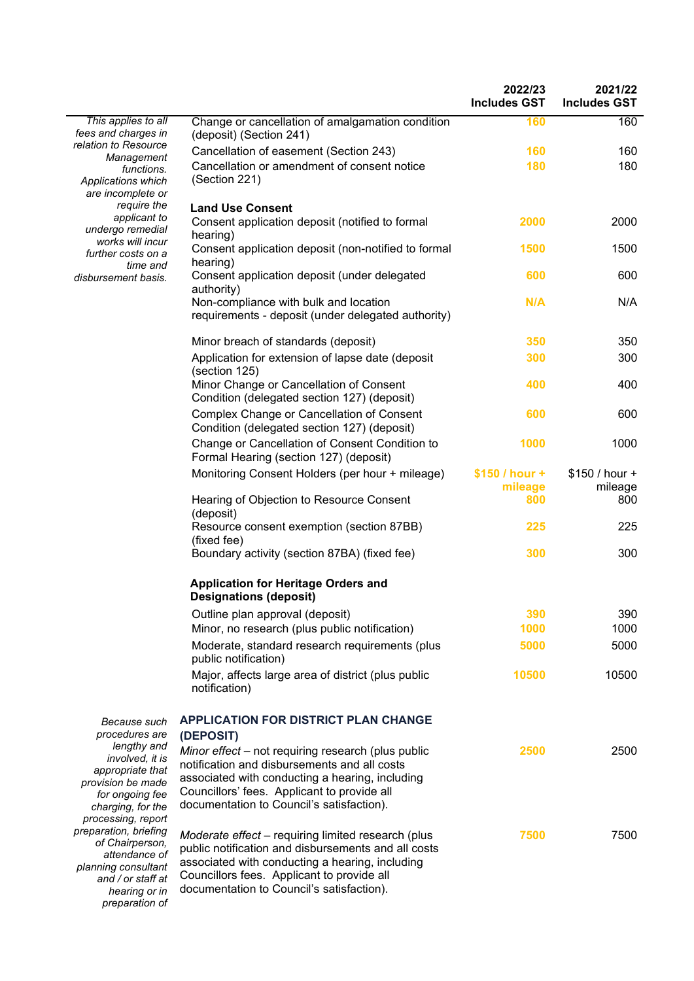|                                                                                                                                       |                                                                                                                                                                                                                                                         | 2022/23<br><b>Includes GST</b> | 2021/22<br><b>Includes GST</b> |
|---------------------------------------------------------------------------------------------------------------------------------------|---------------------------------------------------------------------------------------------------------------------------------------------------------------------------------------------------------------------------------------------------------|--------------------------------|--------------------------------|
| This applies to all<br>fees and charges in                                                                                            | Change or cancellation of amalgamation condition<br>(deposit) (Section 241)                                                                                                                                                                             | 160                            | 160                            |
| relation to Resource<br>Management                                                                                                    | Cancellation of easement (Section 243)                                                                                                                                                                                                                  | 160                            | 160                            |
| functions.<br>Applications which<br>are incomplete or                                                                                 | Cancellation or amendment of consent notice<br>(Section 221)                                                                                                                                                                                            | 180                            | 180                            |
| require the<br>applicant to<br>undergo remedial                                                                                       | <b>Land Use Consent</b><br>Consent application deposit (notified to formal                                                                                                                                                                              | 2000                           | 2000                           |
| works will incur<br>further costs on a                                                                                                | hearing)<br>Consent application deposit (non-notified to formal<br>hearing)                                                                                                                                                                             | 1500                           | 1500                           |
| time and<br>disbursement basis.                                                                                                       | Consent application deposit (under delegated<br>authority)                                                                                                                                                                                              | 600                            | 600                            |
|                                                                                                                                       | Non-compliance with bulk and location<br>requirements - deposit (under delegated authority)                                                                                                                                                             | N/A                            | N/A                            |
|                                                                                                                                       | Minor breach of standards (deposit)                                                                                                                                                                                                                     | 350                            | 350                            |
|                                                                                                                                       | Application for extension of lapse date (deposit<br>(section 125)                                                                                                                                                                                       | 300                            | 300                            |
|                                                                                                                                       | Minor Change or Cancellation of Consent<br>Condition (delegated section 127) (deposit)                                                                                                                                                                  | 400                            | 400                            |
|                                                                                                                                       | Complex Change or Cancellation of Consent<br>Condition (delegated section 127) (deposit)                                                                                                                                                                | 600                            | 600                            |
|                                                                                                                                       | Change or Cancellation of Consent Condition to<br>Formal Hearing (section 127) (deposit)                                                                                                                                                                | 1000                           | 1000                           |
|                                                                                                                                       | Monitoring Consent Holders (per hour + mileage)                                                                                                                                                                                                         | $$150 / hour +$<br>mileage     | \$150 / hour +<br>mileage      |
|                                                                                                                                       | Hearing of Objection to Resource Consent<br>(deposit)                                                                                                                                                                                                   | 800                            | 800                            |
|                                                                                                                                       | Resource consent exemption (section 87BB)<br>(fixed fee)                                                                                                                                                                                                | 225                            | 225                            |
|                                                                                                                                       | Boundary activity (section 87BA) (fixed fee)                                                                                                                                                                                                            | 300                            | 300                            |
|                                                                                                                                       | <b>Application for Heritage Orders and</b><br><b>Designations (deposit)</b>                                                                                                                                                                             |                                |                                |
|                                                                                                                                       | Outline plan approval (deposit)                                                                                                                                                                                                                         | 390                            | 390                            |
|                                                                                                                                       | Minor, no research (plus public notification)                                                                                                                                                                                                           | 1000                           | 1000                           |
|                                                                                                                                       | Moderate, standard research requirements (plus<br>public notification)                                                                                                                                                                                  | 5000                           | 5000                           |
|                                                                                                                                       | Major, affects large area of district (plus public<br>notification)                                                                                                                                                                                     | 10500                          | 10500                          |
| Because such<br>procedures are                                                                                                        | <b>APPLICATION FOR DISTRICT PLAN CHANGE</b><br>(DEPOSIT)                                                                                                                                                                                                |                                |                                |
| lengthy and<br>involved, it is<br>appropriate that<br>provision be made<br>for ongoing fee<br>charging, for the<br>processing, report | Minor effect - not requiring research (plus public<br>notification and disbursements and all costs<br>associated with conducting a hearing, including<br>Councillors' fees. Applicant to provide all<br>documentation to Council's satisfaction).       | 2500                           | 2500                           |
| preparation, briefing<br>of Chairperson,<br>attendance of<br>planning consultant<br>and / or staff at<br>hearing or in                | Moderate effect – requiring limited research (plus<br>public notification and disbursements and all costs<br>associated with conducting a hearing, including<br>Councillors fees. Applicant to provide all<br>documentation to Council's satisfaction). | 7500                           | 7500                           |

*preparation of*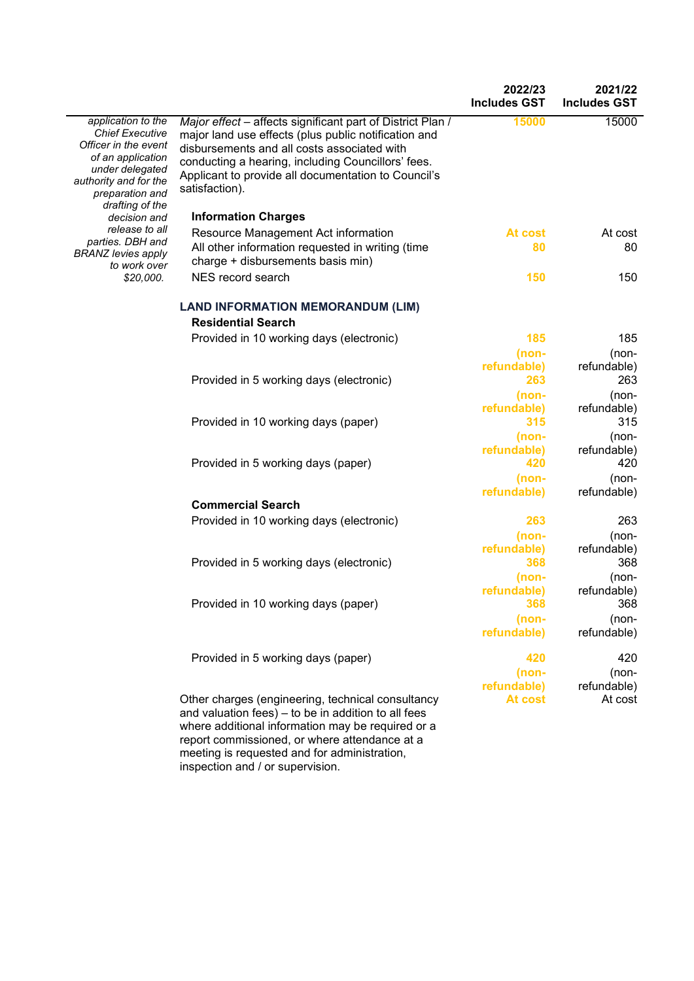|                                                                                                                                                                             |                                                                                                                                                                                                                                                                                                  | 2022/23<br><b>Includes GST</b> | 2021/22<br><b>Includes GST</b> |
|-----------------------------------------------------------------------------------------------------------------------------------------------------------------------------|--------------------------------------------------------------------------------------------------------------------------------------------------------------------------------------------------------------------------------------------------------------------------------------------------|--------------------------------|--------------------------------|
| application to the<br><b>Chief Executive</b><br>Officer in the event<br>of an application<br>under delegated<br>authority and for the<br>preparation and<br>drafting of the | Major effect - affects significant part of District Plan /<br>major land use effects (plus public notification and<br>disbursements and all costs associated with<br>conducting a hearing, including Councillors' fees.<br>Applicant to provide all documentation to Council's<br>satisfaction). | 15000                          | 15000                          |
| decision and                                                                                                                                                                | <b>Information Charges</b>                                                                                                                                                                                                                                                                       |                                |                                |
| release to all                                                                                                                                                              | Resource Management Act information                                                                                                                                                                                                                                                              | At cost                        | At cost                        |
| parties. DBH and<br><b>BRANZ levies apply</b><br>to work over                                                                                                               | All other information requested in writing (time<br>charge + disbursements basis min)                                                                                                                                                                                                            | 80                             | 80                             |
| \$20,000.                                                                                                                                                                   | NES record search                                                                                                                                                                                                                                                                                | 150                            | 150                            |
|                                                                                                                                                                             | <b>LAND INFORMATION MEMORANDUM (LIM)</b><br><b>Residential Search</b>                                                                                                                                                                                                                            |                                |                                |
|                                                                                                                                                                             | Provided in 10 working days (electronic)                                                                                                                                                                                                                                                         | 185                            | 185                            |
|                                                                                                                                                                             |                                                                                                                                                                                                                                                                                                  | (non-                          | (non-                          |
|                                                                                                                                                                             | Provided in 5 working days (electronic)                                                                                                                                                                                                                                                          | refundable)<br>263             | refundable)<br>263             |
|                                                                                                                                                                             |                                                                                                                                                                                                                                                                                                  | (non-                          | (non-                          |
|                                                                                                                                                                             | Provided in 10 working days (paper)                                                                                                                                                                                                                                                              | refundable)<br>315             | refundable)<br>315             |
|                                                                                                                                                                             | Provided in 5 working days (paper)                                                                                                                                                                                                                                                               | (non-<br>refundable)<br>420    | (non-<br>refundable)<br>420    |
|                                                                                                                                                                             |                                                                                                                                                                                                                                                                                                  | (non-<br>refundable)           | (non-<br>refundable)           |
|                                                                                                                                                                             | <b>Commercial Search</b>                                                                                                                                                                                                                                                                         |                                |                                |
|                                                                                                                                                                             | Provided in 10 working days (electronic)                                                                                                                                                                                                                                                         | 263                            | 263                            |
|                                                                                                                                                                             | Provided in 5 working days (electronic)                                                                                                                                                                                                                                                          | (non-<br>refundable)<br>368    | (non-<br>refundable)<br>368    |
|                                                                                                                                                                             |                                                                                                                                                                                                                                                                                                  | (non-                          | (non-                          |
|                                                                                                                                                                             | Provided in 10 working days (paper)                                                                                                                                                                                                                                                              | refundable)<br>368             | refundable)<br>368             |
|                                                                                                                                                                             |                                                                                                                                                                                                                                                                                                  | (non-<br>refundable)           | (non-<br>refundable)           |
|                                                                                                                                                                             | Provided in 5 working days (paper)                                                                                                                                                                                                                                                               | 420                            | 420                            |
|                                                                                                                                                                             |                                                                                                                                                                                                                                                                                                  | $(non-$                        | (non-                          |
|                                                                                                                                                                             |                                                                                                                                                                                                                                                                                                  | refundable)                    | refundable)                    |
|                                                                                                                                                                             | Other charges (engineering, technical consultancy<br>and valuation fees) - to be in addition to all fees<br>where additional information may be required or a<br>report commissioned, or where attendance at a<br>meeting is requested and for administration,                                   | At cost                        | At cost                        |

inspection and / or supervision.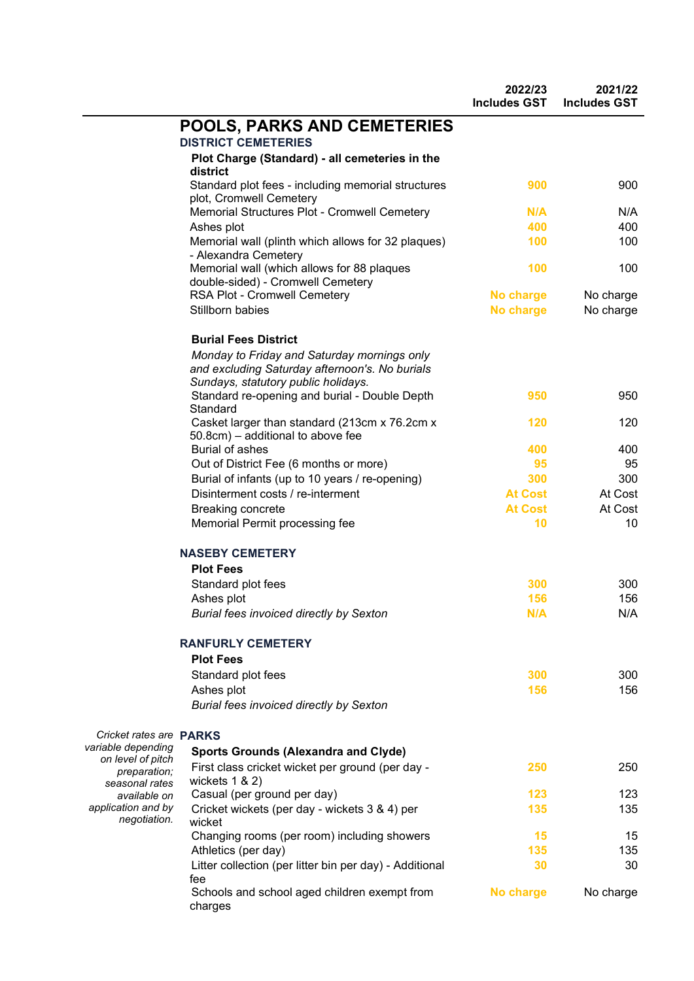|                                         |                                                                                               | 2022/23<br><b>Includes GST</b> | 2021/22<br><b>Includes GST</b> |
|-----------------------------------------|-----------------------------------------------------------------------------------------------|--------------------------------|--------------------------------|
|                                         | <b>POOLS, PARKS AND CEMETERIES</b><br><b>DISTRICT CEMETERIES</b>                              |                                |                                |
|                                         | Plot Charge (Standard) - all cemeteries in the                                                |                                |                                |
|                                         | district                                                                                      |                                |                                |
|                                         | Standard plot fees - including memorial structures<br>plot, Cromwell Cemetery                 | 900                            | 900                            |
|                                         | Memorial Structures Plot - Cromwell Cemetery                                                  | N/A                            | N/A                            |
|                                         | Ashes plot                                                                                    | 400                            | 400                            |
|                                         | Memorial wall (plinth which allows for 32 plaques)<br>- Alexandra Cemetery                    | 100                            | 100                            |
|                                         | Memorial wall (which allows for 88 plaques<br>double-sided) - Cromwell Cemetery               | 100                            | 100                            |
|                                         | RSA Plot - Cromwell Cemetery                                                                  | No charge                      | No charge                      |
|                                         | Stillborn babies                                                                              | No charge                      | No charge                      |
|                                         | <b>Burial Fees District</b>                                                                   |                                |                                |
|                                         | Monday to Friday and Saturday mornings only<br>and excluding Saturday afternoon's. No burials |                                |                                |
|                                         | Sundays, statutory public holidays.                                                           |                                |                                |
|                                         | Standard re-opening and burial - Double Depth<br>Standard                                     | 950                            | 950                            |
|                                         | Casket larger than standard (213cm x 76.2cm x<br>50.8cm) – additional to above fee            | 120                            | 120                            |
|                                         | <b>Burial of ashes</b>                                                                        | 400                            | 400                            |
|                                         | Out of District Fee (6 months or more)                                                        | 95                             | 95                             |
|                                         | Burial of infants (up to 10 years / re-opening)                                               | 300                            | 300                            |
|                                         | Disinterment costs / re-interment                                                             | <b>At Cost</b>                 | At Cost                        |
|                                         | Breaking concrete                                                                             | <b>At Cost</b>                 | At Cost                        |
|                                         | Memorial Permit processing fee                                                                | 10                             | 10                             |
|                                         | <b>NASEBY CEMETERY</b>                                                                        |                                |                                |
|                                         | <b>Plot Fees</b>                                                                              |                                |                                |
|                                         | Standard plot fees                                                                            | 300                            | 300                            |
|                                         | Ashes plot                                                                                    | 156                            | 156                            |
|                                         | <b>Burial fees invoiced directly by Sexton</b>                                                | N/A                            | N/A                            |
|                                         | <b>RANFURLY CEMETERY</b>                                                                      |                                |                                |
|                                         | <b>Plot Fees</b>                                                                              |                                |                                |
|                                         | Standard plot fees                                                                            | 300                            | 300                            |
|                                         | Ashes plot                                                                                    | 156                            | 156                            |
|                                         | Burial fees invoiced directly by Sexton                                                       |                                |                                |
| Cricket rates are <b>PARKS</b>          |                                                                                               |                                |                                |
| variable depending<br>on level of pitch | <b>Sports Grounds (Alexandra and Clyde)</b>                                                   |                                |                                |
| preparation;<br>seasonal rates          | First class cricket wicket per ground (per day -<br>wickets $1 & 2$                           | 250                            | 250                            |
| available on                            | Casual (per ground per day)                                                                   | 123                            | 123                            |
| application and by<br>negotiation.      | Cricket wickets (per day - wickets 3 & 4) per<br>wicket                                       | 135                            | 135                            |
|                                         | Changing rooms (per room) including showers                                                   | 15                             | 15                             |
|                                         | Athletics (per day)                                                                           | 135                            | 135                            |
|                                         | Litter collection (per litter bin per day) - Additional                                       | 30                             | 30                             |
|                                         | fee<br>Schools and school aged children exempt from<br>charges                                | No charge                      | No charge                      |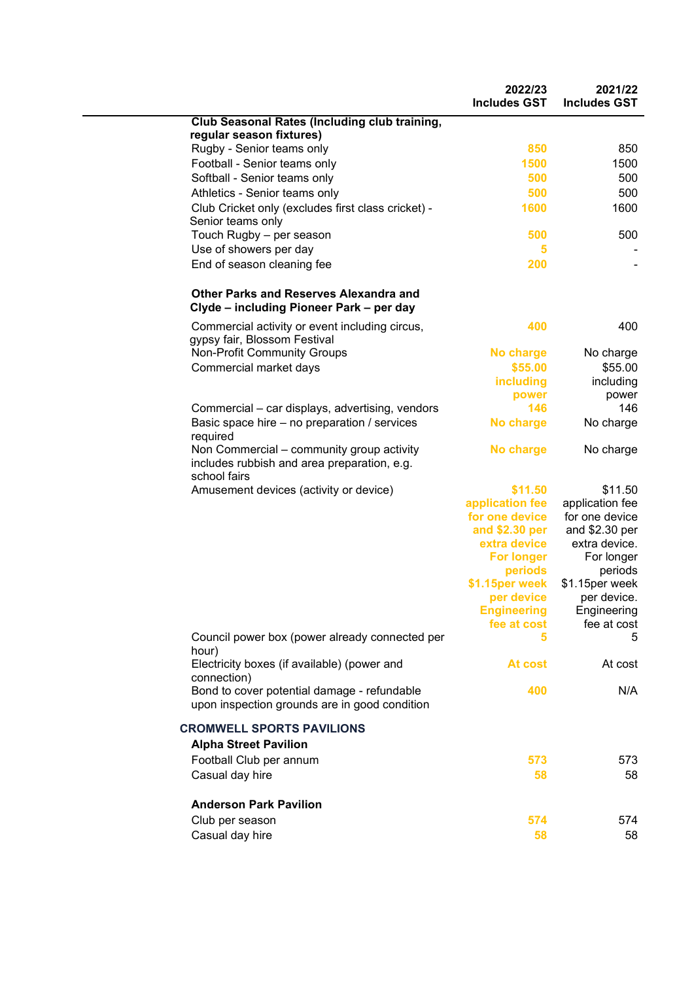|                                                                                                          | 2022/23<br><b>Includes GST</b> | 2021/22<br><b>Includes GST</b> |
|----------------------------------------------------------------------------------------------------------|--------------------------------|--------------------------------|
| Club Seasonal Rates (Including club training,                                                            |                                |                                |
| regular season fixtures)                                                                                 |                                |                                |
| Rugby - Senior teams only                                                                                | 850                            | 850                            |
| Football - Senior teams only                                                                             | 1500                           | 1500                           |
| Softball - Senior teams only                                                                             | 500                            | 500                            |
| Athletics - Senior teams only                                                                            | 500                            | 500                            |
| Club Cricket only (excludes first class cricket) -<br>Senior teams only                                  | 1600                           | 1600                           |
| Touch Rugby - per season                                                                                 | 500                            | 500                            |
| Use of showers per day                                                                                   | 5                              |                                |
| End of season cleaning fee                                                                               | 200                            |                                |
| Other Parks and Reserves Alexandra and<br>Clyde - including Pioneer Park - per day                       |                                |                                |
| Commercial activity or event including circus,<br>gypsy fair, Blossom Festival                           | 400                            | 400                            |
| <b>Non-Profit Community Groups</b>                                                                       | <b>No charge</b>               | No charge                      |
| Commercial market days                                                                                   | \$55.00                        | \$55.00                        |
|                                                                                                          | including                      | including                      |
|                                                                                                          | power                          | power                          |
| Commercial – car displays, advertising, vendors                                                          | 146                            | 146                            |
| Basic space hire – no preparation / services<br>required                                                 | No charge                      | No charge                      |
| Non Commercial – community group activity<br>includes rubbish and area preparation, e.g.<br>school fairs | <b>No charge</b>               | No charge                      |
| Amusement devices (activity or device)                                                                   | \$11.50                        | \$11.50                        |
|                                                                                                          | application fee                | application fee                |
|                                                                                                          | for one device                 | for one device                 |
|                                                                                                          | and \$2.30 per                 | and \$2.30 per                 |
|                                                                                                          | extra device                   | extra device.                  |
|                                                                                                          | <b>For longer</b><br>periods   | For longer<br>periods          |
|                                                                                                          | \$1.15per week                 | \$1.15per week                 |
|                                                                                                          | per device                     | per device.                    |
|                                                                                                          | <b>Engineering</b>             | Engineering                    |
|                                                                                                          | fee at cost                    | fee at cost                    |
| Council power box (power already connected per<br>hour)                                                  | 5                              | 5                              |
| Electricity boxes (if available) (power and<br>connection)                                               | At cost                        | At cost                        |
| Bond to cover potential damage - refundable<br>upon inspection grounds are in good condition             | 400                            | N/A                            |
| <b>CROMWELL SPORTS PAVILIONS</b>                                                                         |                                |                                |
| <b>Alpha Street Pavilion</b>                                                                             |                                |                                |
| Football Club per annum                                                                                  | 573                            | 573                            |
| Casual day hire                                                                                          | 58                             | 58                             |
| <b>Anderson Park Pavilion</b>                                                                            |                                |                                |
| Club per season                                                                                          | 574                            | 574                            |
| Casual day hire                                                                                          | 58                             | 58                             |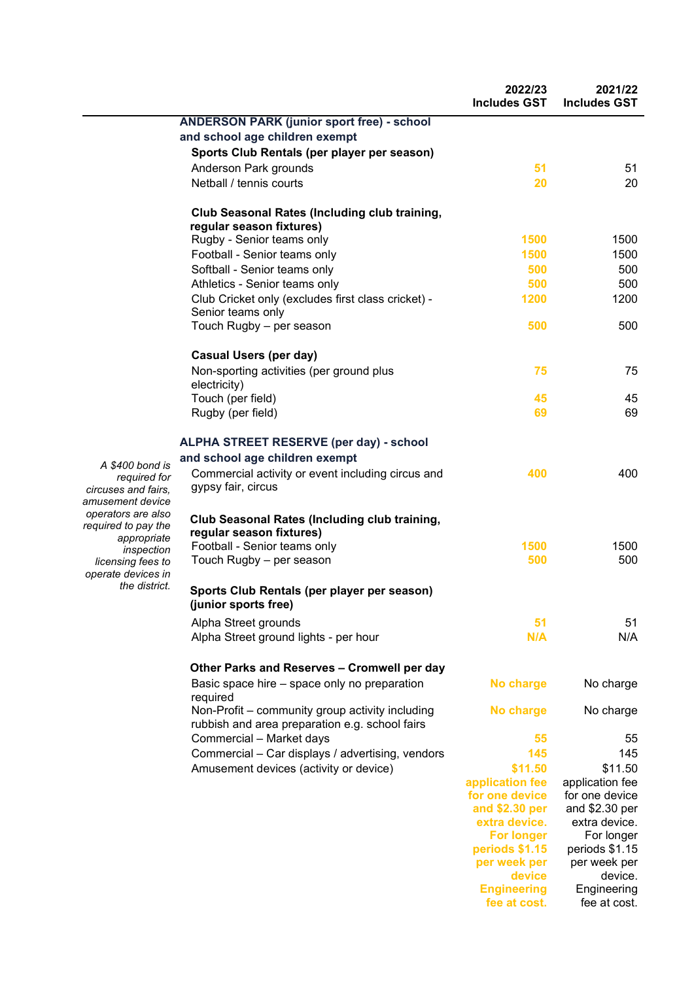|                                              |                                                                                                   | 2022/23<br><b>Includes GST</b> | 2021/22<br><b>Includes GST</b> |
|----------------------------------------------|---------------------------------------------------------------------------------------------------|--------------------------------|--------------------------------|
|                                              | <b>ANDERSON PARK (junior sport free) - school</b>                                                 |                                |                                |
|                                              | and school age children exempt                                                                    |                                |                                |
|                                              | Sports Club Rentals (per player per season)                                                       |                                |                                |
|                                              | Anderson Park grounds                                                                             | 51                             | 51                             |
|                                              | Netball / tennis courts                                                                           | 20                             | 20                             |
|                                              |                                                                                                   |                                |                                |
|                                              | <b>Club Seasonal Rates (Including club training,</b><br>regular season fixtures)                  |                                |                                |
|                                              | Rugby - Senior teams only                                                                         | 1500                           | 1500                           |
|                                              | Football - Senior teams only                                                                      | 1500                           | 1500                           |
|                                              | Softball - Senior teams only                                                                      | 500                            | 500                            |
|                                              | Athletics - Senior teams only                                                                     | 500                            | 500                            |
|                                              | Club Cricket only (excludes first class cricket) -<br>Senior teams only                           | 1200                           | 1200                           |
|                                              | Touch Rugby - per season                                                                          | 500                            | 500                            |
|                                              | <b>Casual Users (per day)</b>                                                                     |                                |                                |
|                                              | Non-sporting activities (per ground plus<br>electricity)                                          | 75                             | 75                             |
|                                              | Touch (per field)                                                                                 | 45                             | 45                             |
|                                              | Rugby (per field)                                                                                 | 69                             | 69                             |
|                                              | <b>ALPHA STREET RESERVE (per day) - school</b>                                                    |                                |                                |
| 400 bond is                                  | and school age children exempt                                                                    |                                |                                |
| required for<br>es and fairs.<br>nent device | Commercial activity or event including circus and<br>gypsy fair, circus                           | 400                            | 400                            |
| ors are also<br>d to pay the                 | Club Seasonal Rates (Including club training,<br>regular season fixtures)                         |                                |                                |
| appropriate                                  | Football - Senior teams only                                                                      | 1500                           | 1500                           |
| inspection<br>sing fees to                   | Touch Rugby - per season                                                                          | 500                            | 500                            |
| e devices in<br>the district.                |                                                                                                   |                                |                                |
|                                              | Sports Club Rentals (per player per season)<br>(junior sports free)                               |                                |                                |
|                                              | Alpha Street grounds                                                                              | 51                             | 51                             |
|                                              | Alpha Street ground lights - per hour                                                             | N/A                            | N/A                            |
|                                              | Other Parks and Reserves - Cromwell per day                                                       |                                |                                |
|                                              | Basic space hire – space only no preparation<br>required                                          | No charge                      | No charge                      |
|                                              | Non-Profit – community group activity including<br>rubbish and area preparation e.g. school fairs | <b>No charge</b>               | No charge                      |
|                                              | Commercial - Market days                                                                          | 55                             | 55                             |
|                                              | Commercial - Car displays / advertising, vendors                                                  | 145                            | 145                            |
|                                              | Amusement devices (activity or device)                                                            | \$11.50                        | \$11.50                        |
|                                              |                                                                                                   | application fee                | application fee                |
|                                              |                                                                                                   | for one device                 | for one device                 |
|                                              |                                                                                                   | and \$2.30 per                 | and \$2.30 per                 |
|                                              |                                                                                                   | extra device.                  | extra device.                  |
|                                              |                                                                                                   | <b>For longer</b>              | For longer                     |
|                                              |                                                                                                   | periods \$1.15                 | periods \$1.15                 |
|                                              |                                                                                                   | per week per                   | per week per<br>device.        |
|                                              |                                                                                                   | device<br><b>Engineering</b>   | Engineering                    |
|                                              |                                                                                                   | fee at cost.                   | fee at cost.                   |

*A \$400 bond is circuses and fairs,*  amusent *operators are also required to pay the licens operate devices in*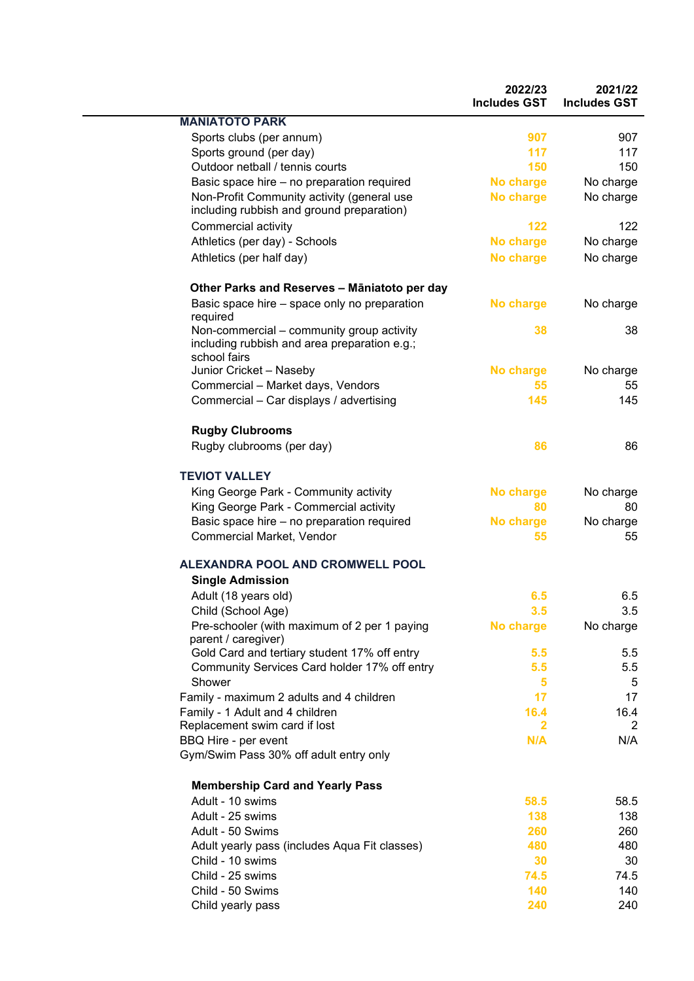|                                                              | 2022/23<br><b>Includes GST</b> | 2021/22<br><b>Includes GST</b> |
|--------------------------------------------------------------|--------------------------------|--------------------------------|
| <b>MANIATOTO PARK</b>                                        |                                |                                |
| Sports clubs (per annum)                                     | 907                            | 907                            |
| Sports ground (per day)                                      | 117                            | 117                            |
| Outdoor netball / tennis courts                              | 150                            | 150                            |
| Basic space hire - no preparation required                   | No charge                      | No charge                      |
| Non-Profit Community activity (general use                   | No charge                      | No charge                      |
| including rubbish and ground preparation)                    |                                |                                |
| Commercial activity                                          | 122                            | 122                            |
| Athletics (per day) - Schools                                | No charge                      | No charge                      |
| Athletics (per half day)                                     | No charge                      | No charge                      |
| Other Parks and Reserves - Māniatoto per day                 |                                |                                |
| Basic space hire – space only no preparation<br>required     | No charge                      | No charge                      |
| Non-commercial - community group activity                    | 38                             | 38                             |
| including rubbish and area preparation e.g.;<br>school fairs |                                |                                |
| Junior Cricket - Naseby                                      | No charge                      | No charge                      |
| Commercial - Market days, Vendors                            | 55                             | 55                             |
| Commercial - Car displays / advertising                      | 145                            | 145                            |
| <b>Rugby Clubrooms</b>                                       |                                |                                |
| Rugby clubrooms (per day)                                    | 86                             | 86                             |
| <b>TEVIOT VALLEY</b>                                         |                                |                                |
| King George Park - Community activity                        | No charge                      | No charge                      |
| King George Park - Commercial activity                       | 80                             | 80                             |
| Basic space hire - no preparation required                   | No charge                      | No charge                      |
| Commercial Market, Vendor                                    | 55                             | 55                             |
| ALEXANDRA POOL AND CROMWELL POOL                             |                                |                                |
| <b>Single Admission</b>                                      |                                |                                |
| Adult (18 years old)                                         | 6.5                            | 6.5                            |
| Child (School Age)                                           | 3.5                            | 3.5                            |
| Pre-schooler (with maximum of 2 per 1 paying                 | No charge                      | No charge                      |
| parent / caregiver)                                          |                                |                                |
| Gold Card and tertiary student 17% off entry                 | 5.5                            | 5.5                            |
| Community Services Card holder 17% off entry                 | 5.5                            | 5.5                            |
| Shower                                                       | 5                              | 5                              |
| Family - maximum 2 adults and 4 children                     | 17                             | 17                             |
| Family - 1 Adult and 4 children                              | 16.4                           | 16.4                           |
| Replacement swim card if lost                                | $\overline{2}$                 | 2                              |
| BBQ Hire - per event                                         | N/A                            | N/A                            |
| Gym/Swim Pass 30% off adult entry only                       |                                |                                |
| <b>Membership Card and Yearly Pass</b>                       |                                |                                |
| Adult - 10 swims                                             | 58.5                           | 58.5                           |
| Adult - 25 swims                                             | 138                            | 138                            |
| Adult - 50 Swims                                             | 260                            | 260                            |
| Adult yearly pass (includes Aqua Fit classes)                | 480                            | 480                            |
| Child - 10 swims                                             | 30                             | 30                             |
| Child - 25 swims                                             | 74.5                           | 74.5                           |
| Child - 50 Swims                                             | 140                            | 140                            |
| Child yearly pass                                            | 240                            | 240                            |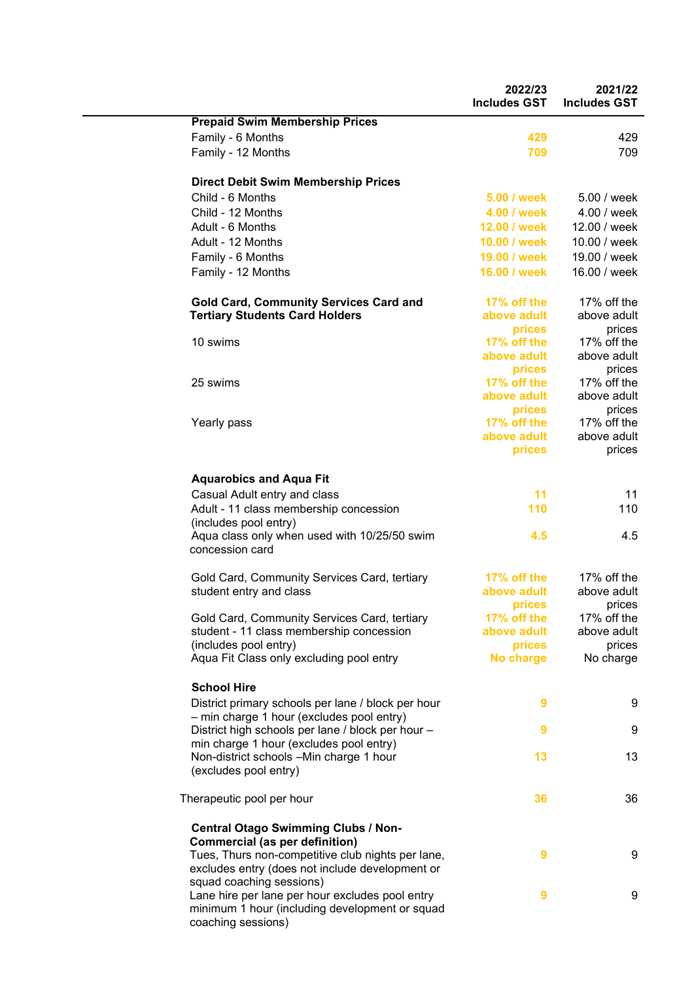|                                                                                                      | 2022/23<br><b>Includes GST</b> | 2021/22<br><b>Includes GST</b> |
|------------------------------------------------------------------------------------------------------|--------------------------------|--------------------------------|
| <b>Prepaid Swim Membership Prices</b>                                                                |                                |                                |
| Family - 6 Months                                                                                    | 429                            | 429                            |
| Family - 12 Months                                                                                   | 709                            | 709                            |
| <b>Direct Debit Swim Membership Prices</b>                                                           |                                |                                |
| Child - 6 Months                                                                                     | 5.00 / week                    | 5.00 / week                    |
| Child - 12 Months                                                                                    | 4.00 / week                    | 4.00 / week                    |
| Adult - 6 Months                                                                                     | 12.00 / week                   | 12.00 / week                   |
| Adult - 12 Months                                                                                    | 10.00 / week                   | 10.00 / week                   |
| Family - 6 Months                                                                                    | 19.00 / week                   | 19.00 / week                   |
| Family - 12 Months                                                                                   | 16.00 / week                   | 16.00 / week                   |
| <b>Gold Card, Community Services Card and</b>                                                        | 17% off the                    | 17% off the                    |
| <b>Tertiary Students Card Holders</b>                                                                | above adult                    | above adult                    |
|                                                                                                      | prices                         | prices                         |
| 10 swims                                                                                             | 17% off the                    | 17% off the                    |
|                                                                                                      | above adult<br>prices          | above adult<br>prices          |
| 25 swims                                                                                             | 17% off the                    | 17% off the                    |
|                                                                                                      | above adult                    | above adult                    |
|                                                                                                      | prices                         | prices                         |
| Yearly pass                                                                                          | 17% off the                    | 17% off the                    |
|                                                                                                      | above adult                    | above adult                    |
|                                                                                                      | prices                         | prices                         |
| <b>Aquarobics and Aqua Fit</b>                                                                       |                                |                                |
| Casual Adult entry and class                                                                         | 11                             | 11                             |
| Adult - 11 class membership concession<br>(includes pool entry)                                      | 110                            | 110                            |
| Aqua class only when used with 10/25/50 swim<br>concession card                                      | 4.5                            | 4.5                            |
| Gold Card, Community Services Card, tertiary                                                         | 17% off the                    | 17% off the                    |
| student entry and class                                                                              | above adult                    | above adult                    |
|                                                                                                      | prices                         | prices                         |
| Gold Card, Community Services Card, tertiary                                                         | 17% off the                    | 17% off the                    |
| student - 11 class membership concession                                                             | above adult                    | above adult                    |
| (includes pool entry)                                                                                | prices                         | prices                         |
| Aqua Fit Class only excluding pool entry                                                             | No charge                      | No charge                      |
| <b>School Hire</b>                                                                                   |                                |                                |
| District primary schools per lane / block per hour<br>- min charge 1 hour (excludes pool entry)      | 9                              | 9                              |
| District high schools per lane / block per hour -<br>min charge 1 hour (excludes pool entry)         | 9                              | 9                              |
| Non-district schools -Min charge 1 hour<br>(excludes pool entry)                                     | 13                             | 13                             |
|                                                                                                      |                                |                                |
| Therapeutic pool per hour                                                                            | 36                             | 36                             |
| <b>Central Otago Swimming Clubs / Non-</b><br><b>Commercial (as per definition)</b>                  |                                |                                |
| Tues, Thurs non-competitive club nights per lane,<br>excludes entry (does not include development or | 9                              | 9                              |
| squad coaching sessions)<br>Lane hire per lane per hour excludes pool entry                          | 9                              | 9                              |
| minimum 1 hour (including development or squad<br>coaching sessions)                                 |                                |                                |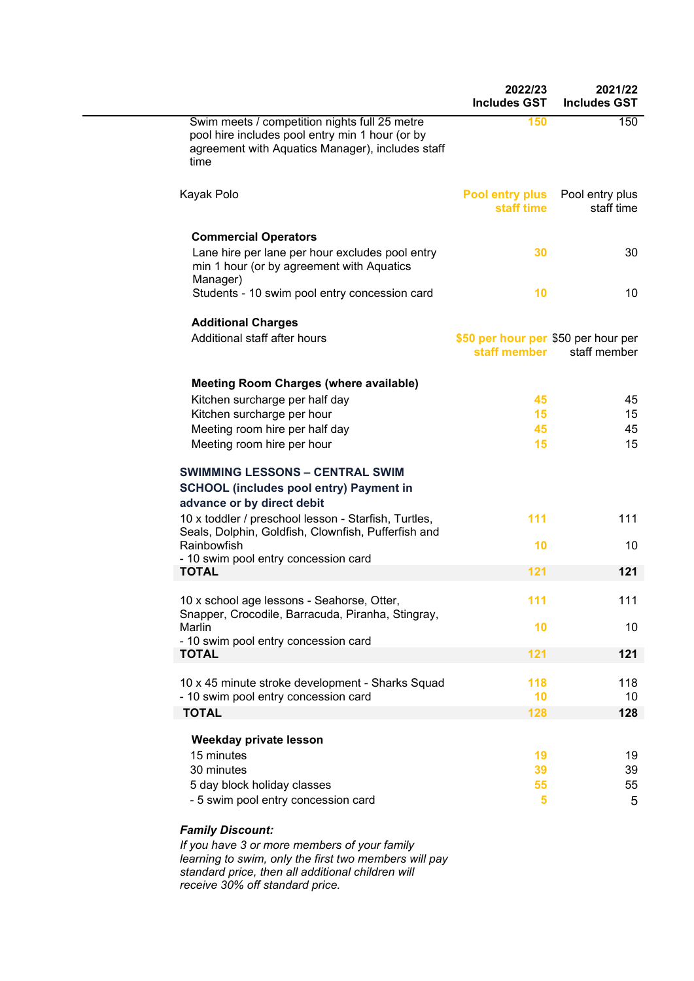|                                                                                                                                                                               | 2022/23<br><b>Includes GST</b>                      | 2021/22<br><b>Includes GST</b> |
|-------------------------------------------------------------------------------------------------------------------------------------------------------------------------------|-----------------------------------------------------|--------------------------------|
| Swim meets / competition nights full 25 metre<br>pool hire includes pool entry min 1 hour (or by<br>agreement with Aquatics Manager), includes staff<br>time                  | 150                                                 | 150                            |
| Kayak Polo                                                                                                                                                                    | <b>Pool entry plus</b><br>staff time                | Pool entry plus<br>staff time  |
| <b>Commercial Operators</b><br>Lane hire per lane per hour excludes pool entry<br>min 1 hour (or by agreement with Aquatics                                                   | 30                                                  | 30                             |
| Manager)<br>Students - 10 swim pool entry concession card                                                                                                                     | 10                                                  | 10                             |
| <b>Additional Charges</b><br>Additional staff after hours                                                                                                                     | \$50 per hour per \$50 per hour per<br>staff member | staff member                   |
| <b>Meeting Room Charges (where available)</b><br>Kitchen surcharge per half day<br>Kitchen surcharge per hour<br>Meeting room hire per half day<br>Meeting room hire per hour | 45<br>15<br>45<br>15                                | 45<br>15<br>45<br>15           |
| <b>SWIMMING LESSONS - CENTRAL SWIM</b><br><b>SCHOOL</b> (includes pool entry) Payment in<br>advance or by direct debit                                                        |                                                     |                                |
| 10 x toddler / preschool lesson - Starfish, Turtles,<br>Seals, Dolphin, Goldfish, Clownfish, Pufferfish and                                                                   | 111                                                 | 111                            |
| Rainbowfish<br>- 10 swim pool entry concession card                                                                                                                           | 10                                                  | 10                             |
| <b>TOTAL</b>                                                                                                                                                                  | 121                                                 | 121                            |
| 10 x school age lessons - Seahorse, Otter,<br>Snapper, Crocodile, Barracuda, Piranha, Stingray,                                                                               | 111                                                 | 111                            |
| Marlin<br>- 10 swim pool entry concession card                                                                                                                                | 10                                                  | 10                             |
| <b>TOTAL</b>                                                                                                                                                                  | 121                                                 | 121                            |
| 10 x 45 minute stroke development - Sharks Squad<br>- 10 swim pool entry concession card                                                                                      | 118<br>10                                           | 118<br>10                      |
| <b>TOTAL</b>                                                                                                                                                                  | 128                                                 | 128                            |
| Weekday private lesson<br>15 minutes                                                                                                                                          |                                                     |                                |
| 30 minutes                                                                                                                                                                    | 19<br>39                                            | 19<br>39                       |
| 5 day block holiday classes<br>- 5 swim pool entry concession card                                                                                                            | 55<br>5                                             | 55<br>5                        |
| <b>Family Discount:</b>                                                                                                                                                       |                                                     |                                |

*If you have 3 or more members of your family learning to swim, only the first two members will pay standard price, then all additional children will receive 30% off standard price.*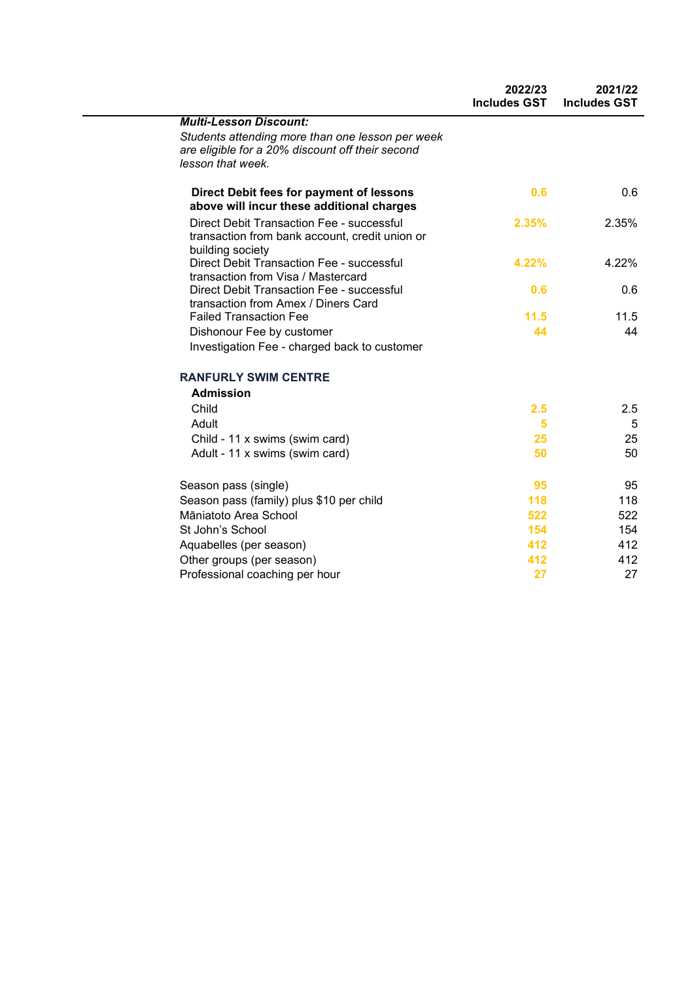|                                                                                                                           | 2022/23<br><b>Includes GST</b> | 2021/22<br><b>Includes GST</b> |
|---------------------------------------------------------------------------------------------------------------------------|--------------------------------|--------------------------------|
| <b>Multi-Lesson Discount:</b>                                                                                             |                                |                                |
| Students attending more than one lesson per week<br>are eligible for a 20% discount off their second<br>lesson that week. |                                |                                |
| Direct Debit fees for payment of lessons<br>above will incur these additional charges                                     | 0.6                            | 0.6                            |
| <b>Direct Debit Transaction Fee - successful</b><br>transaction from bank account, credit union or<br>building society    | 2.35%                          | 2.35%                          |
| <b>Direct Debit Transaction Fee - successful</b><br>transaction from Visa / Mastercard                                    | 4.22%                          | 4.22%                          |
| Direct Debit Transaction Fee - successful<br>transaction from Amex / Diners Card                                          | 0.6                            | 0.6                            |
| <b>Failed Transaction Fee</b>                                                                                             | 11.5                           | 11.5                           |
| Dishonour Fee by customer                                                                                                 | 44                             | 44                             |
| Investigation Fee - charged back to customer                                                                              |                                |                                |
| <b>RANFURLY SWIM CENTRE</b>                                                                                               |                                |                                |
| <b>Admission</b>                                                                                                          |                                |                                |
| Child                                                                                                                     | 2.5                            | 2.5                            |
| Adult                                                                                                                     | 5                              | 5                              |
| Child - 11 x swims (swim card)                                                                                            | 25                             | 25                             |
| Adult - 11 x swims (swim card)                                                                                            | 50                             | 50                             |
| Season pass (single)                                                                                                      | 95                             | 95                             |
| Season pass (family) plus \$10 per child                                                                                  | 118                            | 118                            |
| Māniatoto Area School                                                                                                     | 522                            | 522                            |
| St John's School                                                                                                          | 154                            | 154                            |
| Aquabelles (per season)                                                                                                   | 412                            | 412                            |
| Other groups (per season)                                                                                                 | 412                            | 412                            |
| Professional coaching per hour                                                                                            | 27                             | 27                             |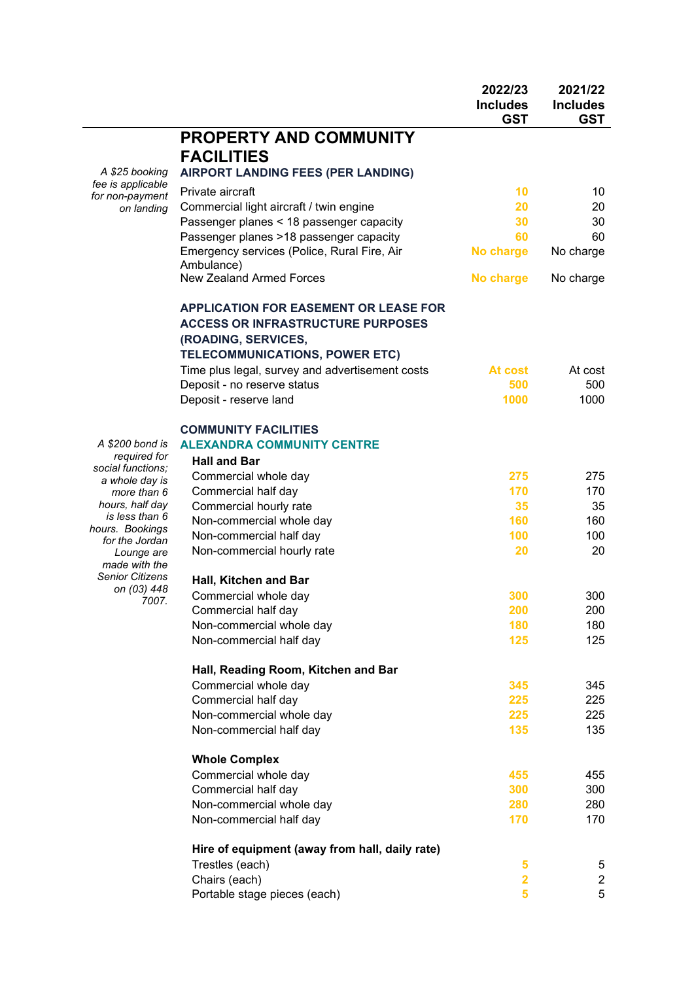|                                   |                                                 | 2022/23<br><b>Includes</b><br><b>GST</b> | 2021/22<br><b>Includes</b><br><b>GST</b> |
|-----------------------------------|-------------------------------------------------|------------------------------------------|------------------------------------------|
|                                   | <b>PROPERTY AND COMMUNITY</b>                   |                                          |                                          |
|                                   | <b>FACILITIES</b>                               |                                          |                                          |
| A \$25 booking                    | <b>AIRPORT LANDING FEES (PER LANDING)</b>       |                                          |                                          |
| fee is applicable                 | Private aircraft                                | 10                                       | 10                                       |
| for non-payment                   | Commercial light aircraft / twin engine         | 20                                       | 20                                       |
| on landing                        | Passenger planes < 18 passenger capacity        | 30                                       | 30                                       |
|                                   | Passenger planes >18 passenger capacity         | 60                                       | 60                                       |
|                                   | Emergency services (Police, Rural Fire, Air     | No charge                                | No charge                                |
|                                   | Ambulance)                                      |                                          |                                          |
|                                   | <b>New Zealand Armed Forces</b>                 | No charge                                | No charge                                |
|                                   | <b>APPLICATION FOR EASEMENT OR LEASE FOR</b>    |                                          |                                          |
|                                   | <b>ACCESS OR INFRASTRUCTURE PURPOSES</b>        |                                          |                                          |
|                                   | (ROADING, SERVICES,                             |                                          |                                          |
|                                   | TELECOMMUNICATIONS, POWER ETC)                  |                                          |                                          |
|                                   | Time plus legal, survey and advertisement costs | At cost                                  | At cost                                  |
|                                   | Deposit - no reserve status                     | 500                                      | 500                                      |
|                                   | Deposit - reserve land                          | 1000                                     | 1000                                     |
|                                   | <b>COMMUNITY FACILITIES</b>                     |                                          |                                          |
| A \$200 bond is                   | <b>ALEXANDRA COMMUNITY CENTRE</b>               |                                          |                                          |
| required for<br>social functions; | <b>Hall and Bar</b>                             |                                          |                                          |
| a whole day is                    | Commercial whole day                            | 275                                      | 275                                      |
| more than 6                       | Commercial half day                             | 170                                      | 170                                      |
| hours, half day                   | Commercial hourly rate                          | 35                                       | 35                                       |
| is less than 6<br>hours. Bookings | Non-commercial whole day                        | 160                                      | 160                                      |
| for the Jordan                    | Non-commercial half day                         | 100                                      | 100                                      |
| Lounge are<br>made with the       | Non-commercial hourly rate                      | 20                                       | 20                                       |
| <b>Senior Citizens</b>            | Hall, Kitchen and Bar                           |                                          |                                          |
| on (03) 448<br>7007.              | Commercial whole day                            | 300                                      | 300                                      |
|                                   | Commercial half day                             | 200                                      | 200                                      |
|                                   | Non-commercial whole day                        | 180                                      | 180                                      |
|                                   | Non-commercial half day                         | 125                                      | 125                                      |
|                                   | Hall, Reading Room, Kitchen and Bar             |                                          |                                          |
|                                   | Commercial whole day                            | 345                                      | 345                                      |
|                                   | Commercial half day                             | 225                                      | 225                                      |
|                                   | Non-commercial whole day                        | 225                                      | 225                                      |
|                                   | Non-commercial half day                         | 135                                      | 135                                      |
|                                   | <b>Whole Complex</b>                            |                                          |                                          |
|                                   | Commercial whole day                            | 455                                      | 455                                      |
|                                   | Commercial half day                             | 300                                      | 300                                      |
|                                   | Non-commercial whole day                        | 280                                      | 280                                      |
|                                   | Non-commercial half day                         | 170                                      | 170                                      |
|                                   | Hire of equipment (away from hall, daily rate)  |                                          |                                          |
|                                   | Trestles (each)                                 | 5                                        | 5                                        |
|                                   | Chairs (each)                                   | $\overline{\mathbf{2}}$                  | $\overline{\mathbf{c}}$                  |
|                                   | Portable stage pieces (each)                    | 5                                        | 5                                        |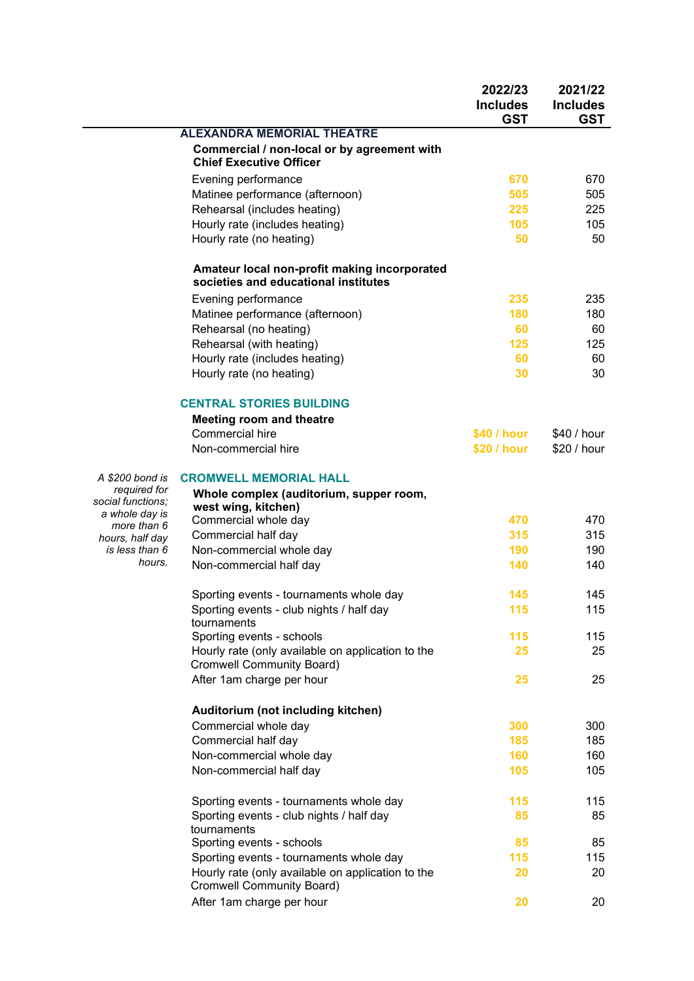| <b>ALEXANDRA MEMORIAL THEATRE</b><br>Commercial / non-local or by agreement with<br><b>Chief Executive Officer</b><br>Evening performance<br>670<br>Matinee performance (afternoon)<br>505<br>Rehearsal (includes heating)<br>225<br>Hourly rate (includes heating)<br>105<br>Hourly rate (no heating)<br>50<br>Amateur local non-profit making incorporated<br>societies and educational institutes<br>Evening performance<br>235<br>Matinee performance (afternoon)<br>180<br>Rehearsal (no heating)<br>60<br>Rehearsal (with heating)<br>125<br>Hourly rate (includes heating)<br>60<br>Hourly rate (no heating)<br>30<br><b>CENTRAL STORIES BUILDING</b><br><b>Meeting room and theatre</b> | 2021/22<br><b>Includes</b><br><b>GST</b> |
|-------------------------------------------------------------------------------------------------------------------------------------------------------------------------------------------------------------------------------------------------------------------------------------------------------------------------------------------------------------------------------------------------------------------------------------------------------------------------------------------------------------------------------------------------------------------------------------------------------------------------------------------------------------------------------------------------|------------------------------------------|
|                                                                                                                                                                                                                                                                                                                                                                                                                                                                                                                                                                                                                                                                                                 |                                          |
|                                                                                                                                                                                                                                                                                                                                                                                                                                                                                                                                                                                                                                                                                                 |                                          |
|                                                                                                                                                                                                                                                                                                                                                                                                                                                                                                                                                                                                                                                                                                 | 670                                      |
|                                                                                                                                                                                                                                                                                                                                                                                                                                                                                                                                                                                                                                                                                                 | 505                                      |
|                                                                                                                                                                                                                                                                                                                                                                                                                                                                                                                                                                                                                                                                                                 | 225                                      |
|                                                                                                                                                                                                                                                                                                                                                                                                                                                                                                                                                                                                                                                                                                 | 105                                      |
|                                                                                                                                                                                                                                                                                                                                                                                                                                                                                                                                                                                                                                                                                                 | 50                                       |
|                                                                                                                                                                                                                                                                                                                                                                                                                                                                                                                                                                                                                                                                                                 |                                          |
|                                                                                                                                                                                                                                                                                                                                                                                                                                                                                                                                                                                                                                                                                                 | 235                                      |
|                                                                                                                                                                                                                                                                                                                                                                                                                                                                                                                                                                                                                                                                                                 | 180                                      |
|                                                                                                                                                                                                                                                                                                                                                                                                                                                                                                                                                                                                                                                                                                 | 60                                       |
|                                                                                                                                                                                                                                                                                                                                                                                                                                                                                                                                                                                                                                                                                                 | 125                                      |
|                                                                                                                                                                                                                                                                                                                                                                                                                                                                                                                                                                                                                                                                                                 | 60                                       |
|                                                                                                                                                                                                                                                                                                                                                                                                                                                                                                                                                                                                                                                                                                 | 30                                       |
|                                                                                                                                                                                                                                                                                                                                                                                                                                                                                                                                                                                                                                                                                                 |                                          |
|                                                                                                                                                                                                                                                                                                                                                                                                                                                                                                                                                                                                                                                                                                 |                                          |
| <b>Commercial hire</b><br>\$40 / hour<br>\$40 / hour                                                                                                                                                                                                                                                                                                                                                                                                                                                                                                                                                                                                                                            |                                          |
| \$20 / hour<br>\$20 / hour<br>Non-commercial hire                                                                                                                                                                                                                                                                                                                                                                                                                                                                                                                                                                                                                                               |                                          |
| A \$200 bond is<br><b>CROMWELL MEMORIAL HALL</b>                                                                                                                                                                                                                                                                                                                                                                                                                                                                                                                                                                                                                                                |                                          |
| required for<br>Whole complex (auditorium, supper room,                                                                                                                                                                                                                                                                                                                                                                                                                                                                                                                                                                                                                                         |                                          |
| social functions;<br>west wing, kitchen)<br>a whole day is                                                                                                                                                                                                                                                                                                                                                                                                                                                                                                                                                                                                                                      |                                          |
| Commercial whole day<br>470<br>more than 6                                                                                                                                                                                                                                                                                                                                                                                                                                                                                                                                                                                                                                                      | 470                                      |
| Commercial half day<br>315<br>hours, half day                                                                                                                                                                                                                                                                                                                                                                                                                                                                                                                                                                                                                                                   | 315                                      |
| is less than 6<br>Non-commercial whole day<br>190<br>hours.                                                                                                                                                                                                                                                                                                                                                                                                                                                                                                                                                                                                                                     | 190                                      |
| Non-commercial half day<br>140                                                                                                                                                                                                                                                                                                                                                                                                                                                                                                                                                                                                                                                                  | 140                                      |
| Sporting events - tournaments whole day<br>145                                                                                                                                                                                                                                                                                                                                                                                                                                                                                                                                                                                                                                                  | 145                                      |
| Sporting events - club nights / half day<br>115<br>tournaments                                                                                                                                                                                                                                                                                                                                                                                                                                                                                                                                                                                                                                  | 115                                      |
| Sporting events - schools<br>115                                                                                                                                                                                                                                                                                                                                                                                                                                                                                                                                                                                                                                                                | 115                                      |
| Hourly rate (only available on application to the<br>25<br>Cromwell Community Board)                                                                                                                                                                                                                                                                                                                                                                                                                                                                                                                                                                                                            | 25                                       |
| After 1am charge per hour<br>25                                                                                                                                                                                                                                                                                                                                                                                                                                                                                                                                                                                                                                                                 | 25                                       |
| Auditorium (not including kitchen)                                                                                                                                                                                                                                                                                                                                                                                                                                                                                                                                                                                                                                                              |                                          |
| Commercial whole day<br>300                                                                                                                                                                                                                                                                                                                                                                                                                                                                                                                                                                                                                                                                     | 300                                      |
| Commercial half day<br>185                                                                                                                                                                                                                                                                                                                                                                                                                                                                                                                                                                                                                                                                      | 185                                      |
| Non-commercial whole day<br>160                                                                                                                                                                                                                                                                                                                                                                                                                                                                                                                                                                                                                                                                 | 160                                      |
| Non-commercial half day<br>105                                                                                                                                                                                                                                                                                                                                                                                                                                                                                                                                                                                                                                                                  | 105                                      |
| 115<br>Sporting events - tournaments whole day                                                                                                                                                                                                                                                                                                                                                                                                                                                                                                                                                                                                                                                  | 115                                      |
| Sporting events - club nights / half day<br>85<br>tournaments                                                                                                                                                                                                                                                                                                                                                                                                                                                                                                                                                                                                                                   | 85                                       |
| 85<br>Sporting events - schools                                                                                                                                                                                                                                                                                                                                                                                                                                                                                                                                                                                                                                                                 | 85                                       |
| Sporting events - tournaments whole day<br>115                                                                                                                                                                                                                                                                                                                                                                                                                                                                                                                                                                                                                                                  | 115                                      |
| Hourly rate (only available on application to the<br>20<br><b>Cromwell Community Board)</b>                                                                                                                                                                                                                                                                                                                                                                                                                                                                                                                                                                                                     | 20                                       |
| After 1am charge per hour<br>20                                                                                                                                                                                                                                                                                                                                                                                                                                                                                                                                                                                                                                                                 | 20                                       |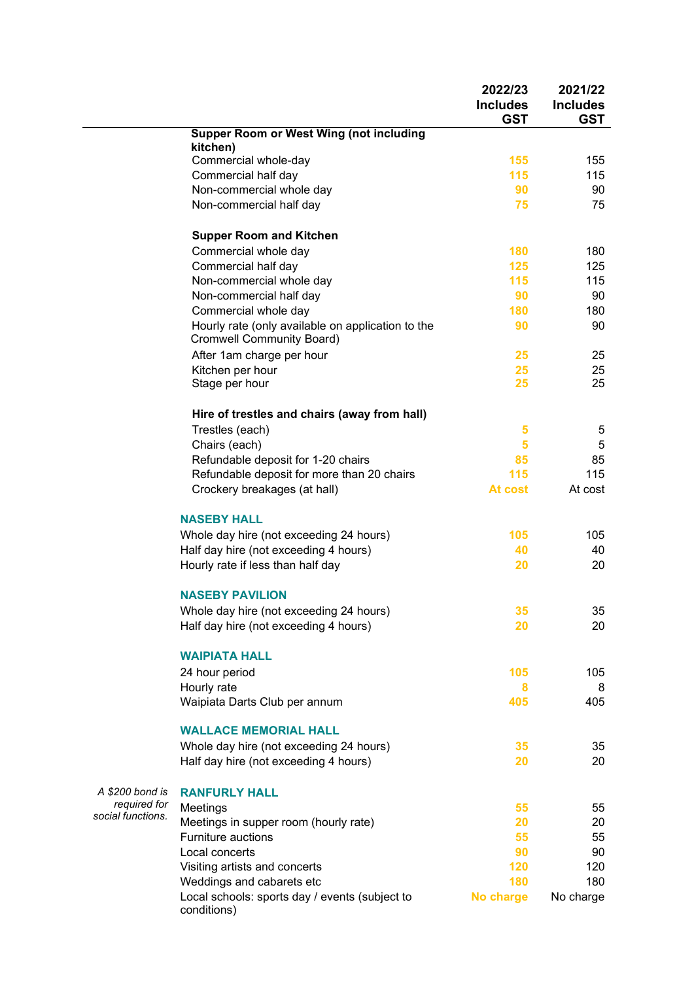|                   |                                                                                       | 2022/23<br><b>Includes</b><br><b>GST</b> | 2021/22<br><b>Includes</b><br><b>GST</b> |
|-------------------|---------------------------------------------------------------------------------------|------------------------------------------|------------------------------------------|
|                   | <b>Supper Room or West Wing (not including</b>                                        |                                          |                                          |
|                   | kitchen)<br>Commercial whole-day                                                      | 155                                      | 155                                      |
|                   | Commercial half day                                                                   | 115                                      | 115                                      |
|                   | Non-commercial whole day                                                              | 90                                       | 90                                       |
|                   | Non-commercial half day                                                               | 75                                       | 75                                       |
|                   |                                                                                       |                                          |                                          |
|                   | <b>Supper Room and Kitchen</b>                                                        |                                          |                                          |
|                   | Commercial whole day                                                                  | 180<br>125                               | 180<br>125                               |
|                   | Commercial half day                                                                   | 115                                      | 115                                      |
|                   | Non-commercial whole day                                                              | 90                                       | 90                                       |
|                   | Non-commercial half day                                                               | 180                                      | 180                                      |
|                   | Commercial whole day                                                                  | 90                                       | 90                                       |
|                   | Hourly rate (only available on application to the<br><b>Cromwell Community Board)</b> |                                          |                                          |
|                   | After 1am charge per hour                                                             | 25                                       | 25                                       |
|                   | Kitchen per hour                                                                      | 25                                       | 25                                       |
|                   | Stage per hour                                                                        | 25                                       | 25                                       |
|                   | Hire of trestles and chairs (away from hall)                                          |                                          |                                          |
|                   | Trestles (each)                                                                       | 5                                        | 5                                        |
|                   | Chairs (each)                                                                         | 5                                        | 5                                        |
|                   | Refundable deposit for 1-20 chairs                                                    | 85                                       | 85                                       |
|                   | Refundable deposit for more than 20 chairs                                            | 115                                      | 115                                      |
|                   | Crockery breakages (at hall)                                                          | At cost                                  | At cost                                  |
|                   | <b>NASEBY HALL</b>                                                                    |                                          |                                          |
|                   | Whole day hire (not exceeding 24 hours)                                               | 105                                      | 105                                      |
|                   | Half day hire (not exceeding 4 hours)                                                 | 40                                       | 40                                       |
|                   | Hourly rate if less than half day                                                     | 20                                       | 20                                       |
|                   | <b>NASEBY PAVILION</b>                                                                |                                          |                                          |
|                   | Whole day hire (not exceeding 24 hours)                                               | 35                                       | 35                                       |
|                   | Half day hire (not exceeding 4 hours)                                                 | 20                                       | 20                                       |
|                   | <b>WAIPIATA HALL</b>                                                                  |                                          |                                          |
|                   | 24 hour period                                                                        | 105                                      | 105                                      |
|                   | Hourly rate                                                                           | 8                                        | 8                                        |
|                   | Waipiata Darts Club per annum                                                         | 405                                      | 405                                      |
|                   | <b>WALLACE MEMORIAL HALL</b>                                                          |                                          |                                          |
|                   | Whole day hire (not exceeding 24 hours)                                               | 35                                       | 35                                       |
|                   | Half day hire (not exceeding 4 hours)                                                 | 20                                       | 20                                       |
| A \$200 bond is   | <b>RANFURLY HALL</b>                                                                  |                                          |                                          |
| required for      | Meetings                                                                              | 55                                       | 55                                       |
| social functions. | Meetings in supper room (hourly rate)                                                 | 20                                       | 20                                       |
|                   | <b>Furniture auctions</b>                                                             | 55                                       | 55                                       |
|                   | Local concerts                                                                        | 90                                       | 90                                       |
|                   | Visiting artists and concerts                                                         | 120                                      | 120                                      |
|                   | Weddings and cabarets etc                                                             | 180                                      | 180                                      |
|                   | Local schools: sports day / events (subject to<br>conditions)                         | No charge                                | No charge                                |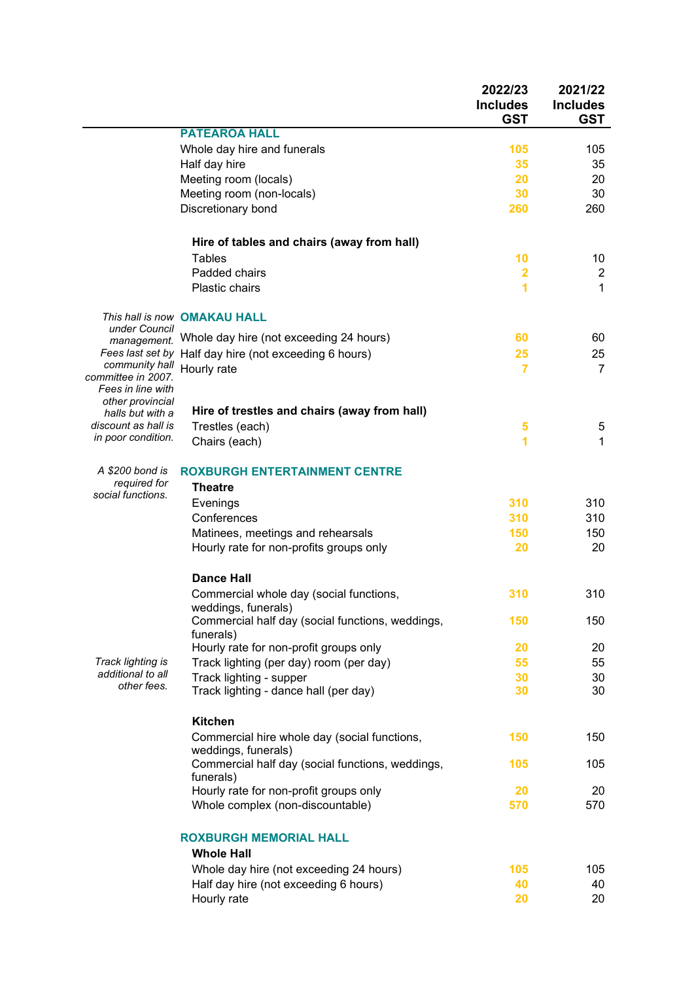|                                                           |                                                                     | 2022/23<br><b>Includes</b><br><b>GST</b> | 2021/22<br><b>Includes</b><br><b>GST</b> |
|-----------------------------------------------------------|---------------------------------------------------------------------|------------------------------------------|------------------------------------------|
|                                                           | <b>PATEAROA HALL</b>                                                |                                          |                                          |
|                                                           | Whole day hire and funerals                                         | 105                                      | 105                                      |
|                                                           | Half day hire                                                       | 35                                       | 35                                       |
|                                                           | Meeting room (locals)                                               | 20                                       | 20                                       |
|                                                           | Meeting room (non-locals)                                           | 30                                       | 30                                       |
|                                                           | Discretionary bond                                                  | 260                                      | 260                                      |
|                                                           | Hire of tables and chairs (away from hall)                          |                                          |                                          |
|                                                           | Tables                                                              | 10                                       | 10                                       |
|                                                           | Padded chairs                                                       | $\overline{\mathbf{2}}$                  | $\overline{c}$                           |
|                                                           | Plastic chairs                                                      | 1                                        | 1                                        |
| under Council                                             | This hall is now OMAKAU HALL                                        |                                          |                                          |
| management.                                               | Whole day hire (not exceeding 24 hours)                             | 60                                       | 60                                       |
| Fees last set by                                          | Half day hire (not exceeding 6 hours)                               | 25                                       | 25                                       |
| community hall<br>committee in 2007.<br>Fees in line with | Hourly rate                                                         | $\overline{7}$                           | $\overline{7}$                           |
| other provincial<br>halls but with a                      | Hire of trestles and chairs (away from hall)                        |                                          |                                          |
| discount as hall is                                       | Trestles (each)                                                     | 5                                        | 5                                        |
| in poor condition.                                        | Chairs (each)                                                       | 1                                        | 1                                        |
| A \$200 bond is                                           | <b>ROXBURGH ENTERTAINMENT CENTRE</b>                                |                                          |                                          |
| required for<br>social functions.                         | <b>Theatre</b>                                                      |                                          |                                          |
|                                                           | Evenings                                                            | 310                                      | 310                                      |
|                                                           | Conferences                                                         | 310                                      | 310                                      |
|                                                           | Matinees, meetings and rehearsals                                   | 150                                      | 150                                      |
|                                                           | Hourly rate for non-profits groups only                             | 20                                       | 20                                       |
|                                                           | <b>Dance Hall</b>                                                   |                                          |                                          |
|                                                           | Commercial whole day (social functions,<br>weddings, funerals)      | 310                                      | 310                                      |
|                                                           | Commercial half day (social functions, weddings,<br>funerals)       | 150                                      | 150                                      |
|                                                           | Hourly rate for non-profit groups only                              | 20                                       | 20                                       |
| Track lighting is                                         | Track lighting (per day) room (per day)                             | 55                                       | 55                                       |
| additional to all<br>other fees.                          | Track lighting - supper                                             | 30                                       | 30                                       |
|                                                           | Track lighting - dance hall (per day)                               | 30                                       | 30                                       |
|                                                           | <b>Kitchen</b>                                                      |                                          |                                          |
|                                                           | Commercial hire whole day (social functions,<br>weddings, funerals) | 150                                      | 150                                      |
|                                                           | Commercial half day (social functions, weddings,<br>funerals)       | 105                                      | 105                                      |
|                                                           | Hourly rate for non-profit groups only                              | 20                                       | 20                                       |
|                                                           | Whole complex (non-discountable)                                    | 570                                      | 570                                      |
|                                                           | <b>ROXBURGH MEMORIAL HALL</b>                                       |                                          |                                          |
|                                                           | <b>Whole Hall</b><br>Whole day hire (not exceeding 24 hours)        | 105                                      | 105                                      |
|                                                           | Half day hire (not exceeding 6 hours)                               | 40                                       | 40                                       |
|                                                           | Hourly rate                                                         | 20                                       | 20                                       |
|                                                           |                                                                     |                                          |                                          |
|                                                           |                                                                     |                                          |                                          |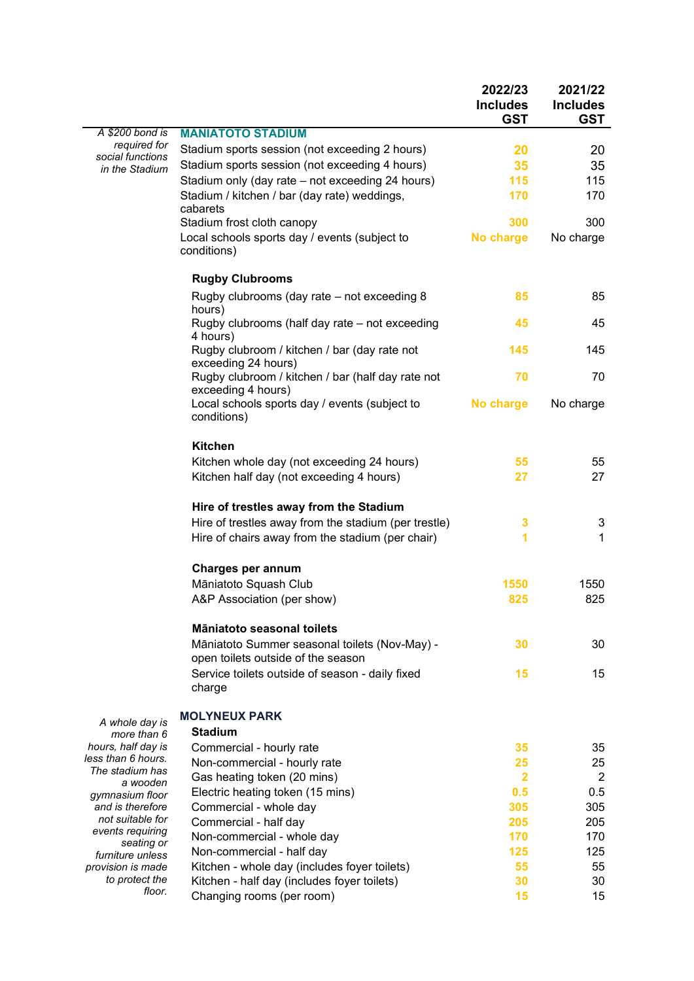|                                          |                                                                                     | 2022/23<br><b>Includes</b><br><b>GST</b> | 2021/22<br><b>Includes</b><br><b>GST</b> |
|------------------------------------------|-------------------------------------------------------------------------------------|------------------------------------------|------------------------------------------|
| A \$200 bond is                          | <b>MANIATOTO STADIUM</b>                                                            |                                          |                                          |
| required for<br>social functions         | Stadium sports session (not exceeding 2 hours)                                      | 20                                       | 20                                       |
| in the Stadium                           | Stadium sports session (not exceeding 4 hours)                                      | 35                                       | 35                                       |
|                                          | Stadium only (day rate - not exceeding 24 hours)                                    | 115                                      | 115                                      |
|                                          | Stadium / kitchen / bar (day rate) weddings,                                        | 170                                      | 170                                      |
|                                          | cabarets                                                                            |                                          |                                          |
|                                          | Stadium frost cloth canopy                                                          | 300                                      | 300                                      |
|                                          | Local schools sports day / events (subject to<br>conditions)                        | No charge                                | No charge                                |
|                                          | <b>Rugby Clubrooms</b>                                                              |                                          |                                          |
|                                          | Rugby clubrooms (day rate – not exceeding 8<br>hours)                               | 85                                       | 85                                       |
|                                          | Rugby clubrooms (half day rate – not exceeding<br>4 hours)                          | 45                                       | 45                                       |
|                                          | Rugby clubroom / kitchen / bar (day rate not<br>exceeding 24 hours)                 | 145                                      | 145                                      |
|                                          | Rugby clubroom / kitchen / bar (half day rate not<br>exceeding 4 hours)             | 70                                       | 70                                       |
|                                          | Local schools sports day / events (subject to<br>conditions)                        | No charge                                | No charge                                |
|                                          | <b>Kitchen</b>                                                                      |                                          |                                          |
|                                          | Kitchen whole day (not exceeding 24 hours)                                          | 55                                       | 55                                       |
|                                          | Kitchen half day (not exceeding 4 hours)                                            | 27                                       | 27                                       |
|                                          | Hire of trestles away from the Stadium                                              |                                          |                                          |
|                                          | Hire of trestles away from the stadium (per trestle)                                | 3                                        | 3                                        |
|                                          | Hire of chairs away from the stadium (per chair)                                    | 1                                        | 1                                        |
|                                          | Charges per annum                                                                   |                                          |                                          |
|                                          | Māniatoto Squash Club                                                               | 1550                                     | 1550                                     |
|                                          | A&P Association (per show)                                                          | 825                                      | 825                                      |
|                                          | Māniatoto seasonal toilets                                                          |                                          |                                          |
|                                          | Māniatoto Summer seasonal toilets (Nov-May) -<br>open toilets outside of the season | 30                                       | 30                                       |
|                                          | Service toilets outside of season - daily fixed<br>charge                           | 15                                       | 15                                       |
| A whole day is                           | <b>MOLYNEUX PARK</b>                                                                |                                          |                                          |
| more than 6                              | <b>Stadium</b>                                                                      |                                          |                                          |
| hours, half day is<br>less than 6 hours. | Commercial - hourly rate                                                            | 35                                       | 35                                       |
| The stadium has                          | Non-commercial - hourly rate                                                        | 25                                       | 25                                       |
| a wooden                                 | Gas heating token (20 mins)                                                         | $\overline{\mathbf{2}}$<br>0.5           | $\overline{2}$                           |
| gymnasium floor<br>and is therefore      | Electric heating token (15 mins)                                                    | 305                                      | 0.5<br>305                               |
| not suitable for                         | Commercial - whole day                                                              | 205                                      |                                          |
| events requiring                         | Commercial - half day                                                               | 170                                      | 205<br>170                               |
| seating or                               | Non-commercial - whole day                                                          | 125                                      | 125                                      |
| furniture unless<br>provision is made    | Non-commercial - half day<br>Kitchen - whole day (includes foyer toilets)           | 55                                       | 55                                       |
| to protect the                           | Kitchen - half day (includes foyer toilets)                                         | 30                                       | 30                                       |
| floor.                                   | Changing rooms (per room)                                                           | 15                                       | 15                                       |
|                                          |                                                                                     |                                          |                                          |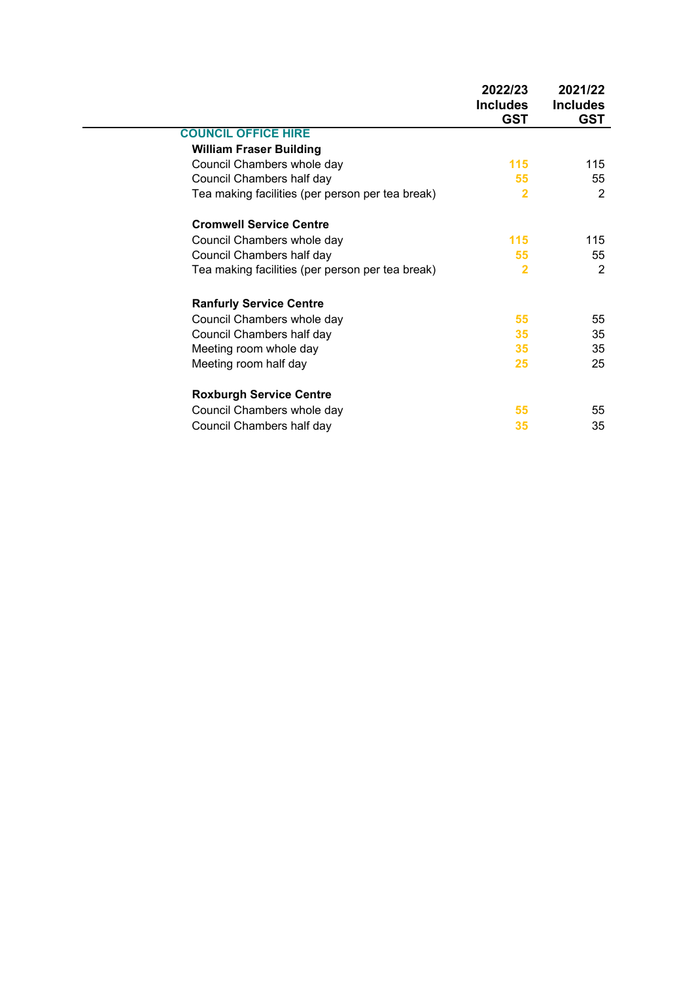|                                                  | 2022/23<br><b>Includes</b><br><b>GST</b> | 2021/22<br><b>Includes</b><br><b>GST</b> |
|--------------------------------------------------|------------------------------------------|------------------------------------------|
| <b>COUNCIL OFFICE HIRE</b>                       |                                          |                                          |
| <b>William Fraser Building</b>                   |                                          |                                          |
| Council Chambers whole day                       | 115                                      | 115                                      |
| Council Chambers half day                        | 55                                       | 55                                       |
| Tea making facilities (per person per tea break) | $\overline{2}$                           | $\overline{2}$                           |
| <b>Cromwell Service Centre</b>                   |                                          |                                          |
| Council Chambers whole day                       | 115                                      | 115                                      |
| Council Chambers half day                        | 55                                       | 55                                       |
| Tea making facilities (per person per tea break) | $\overline{2}$                           | 2                                        |
| <b>Ranfurly Service Centre</b>                   |                                          |                                          |
| Council Chambers whole day                       | 55                                       | 55                                       |
| Council Chambers half day                        | 35                                       | 35                                       |
| Meeting room whole day                           | 35                                       | 35                                       |
| Meeting room half day                            | 25                                       | 25                                       |
| <b>Roxburgh Service Centre</b>                   |                                          |                                          |
| Council Chambers whole day                       | 55                                       | 55                                       |
| Council Chambers half day                        | 35                                       | 35                                       |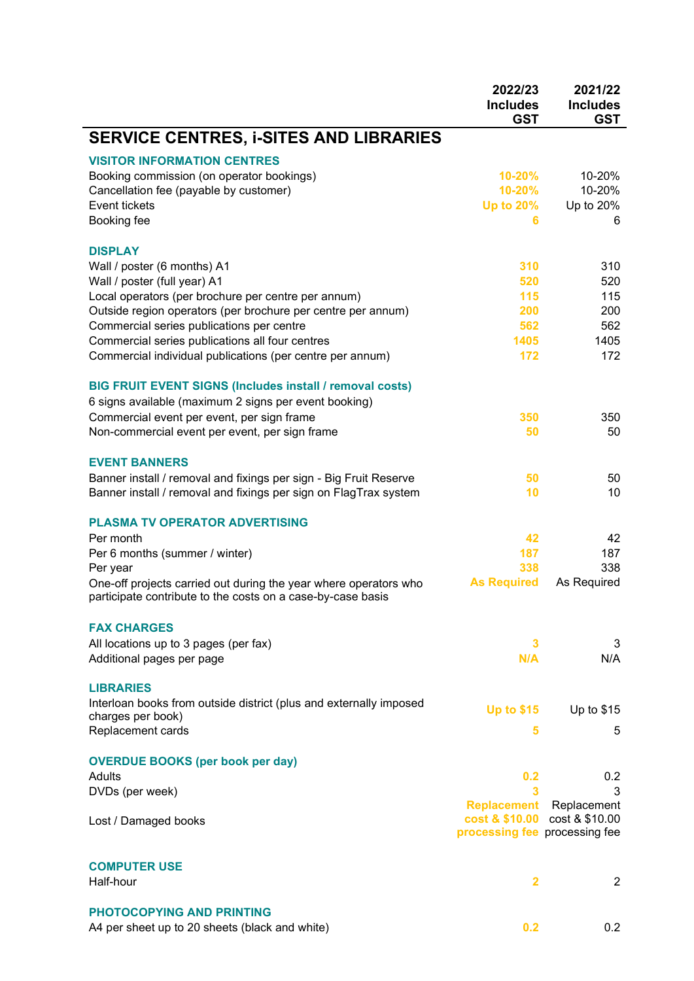|                                                                                                                                                                                                                                                                                                                                                                   | 2022/23<br><b>Includes</b><br><b>GST</b>                                             | 2021/22<br><b>Includes</b><br><b>GST</b>       |
|-------------------------------------------------------------------------------------------------------------------------------------------------------------------------------------------------------------------------------------------------------------------------------------------------------------------------------------------------------------------|--------------------------------------------------------------------------------------|------------------------------------------------|
| <b>SERVICE CENTRES, i-SITES AND LIBRARIES</b>                                                                                                                                                                                                                                                                                                                     |                                                                                      |                                                |
| <b>VISITOR INFORMATION CENTRES</b><br>Booking commission (on operator bookings)<br>Cancellation fee (payable by customer)<br>Event tickets<br>Booking fee                                                                                                                                                                                                         | 10-20%<br>10-20%<br><b>Up to 20%</b><br>6                                            | 10-20%<br>10-20%<br>Up to 20%<br>6             |
| <b>DISPLAY</b><br>Wall / poster (6 months) A1<br>Wall / poster (full year) A1<br>Local operators (per brochure per centre per annum)<br>Outside region operators (per brochure per centre per annum)<br>Commercial series publications per centre<br>Commercial series publications all four centres<br>Commercial individual publications (per centre per annum) | 310<br>520<br>115<br>200<br>562<br>1405<br>172                                       | 310<br>520<br>115<br>200<br>562<br>1405<br>172 |
| <b>BIG FRUIT EVENT SIGNS (Includes install / removal costs)</b><br>6 signs available (maximum 2 signs per event booking)<br>Commercial event per event, per sign frame<br>Non-commercial event per event, per sign frame                                                                                                                                          | 350<br>50                                                                            | 350<br>50                                      |
| <b>EVENT BANNERS</b><br>Banner install / removal and fixings per sign - Big Fruit Reserve<br>Banner install / removal and fixings per sign on FlagTrax system                                                                                                                                                                                                     | 50<br>10                                                                             | 50<br>10                                       |
| <b>PLASMA TV OPERATOR ADVERTISING</b><br>Per month<br>Per 6 months (summer / winter)<br>Per year<br>One-off projects carried out during the year where operators who<br>participate contribute to the costs on a case-by-case basis                                                                                                                               | 42<br>187<br>338<br><b>As Required</b>                                               | 42<br>187<br>338<br>As Required                |
| <b>FAX CHARGES</b><br>All locations up to 3 pages (per fax)<br>Additional pages per page                                                                                                                                                                                                                                                                          | 3<br>N/A                                                                             | 3<br>N/A                                       |
| <b>LIBRARIES</b><br>Interloan books from outside district (plus and externally imposed<br>charges per book)<br>Replacement cards                                                                                                                                                                                                                                  | <b>Up to \$15</b><br>5                                                               | Up to \$15<br>5                                |
| <b>OVERDUE BOOKS (per book per day)</b><br><b>Adults</b><br>DVDs (per week)                                                                                                                                                                                                                                                                                       | 0.2<br>3                                                                             | 0.2<br>3                                       |
| Lost / Damaged books                                                                                                                                                                                                                                                                                                                                              | <b>Replacement</b><br>cost & \$10.00 cost & \$10.00<br>processing fee processing fee | Replacement                                    |
| <b>COMPUTER USE</b><br>Half-hour                                                                                                                                                                                                                                                                                                                                  | $\overline{\mathbf{2}}$                                                              | $\overline{2}$                                 |
| <b>PHOTOCOPYING AND PRINTING</b><br>A4 per sheet up to 20 sheets (black and white)                                                                                                                                                                                                                                                                                | 0.2                                                                                  | 0.2                                            |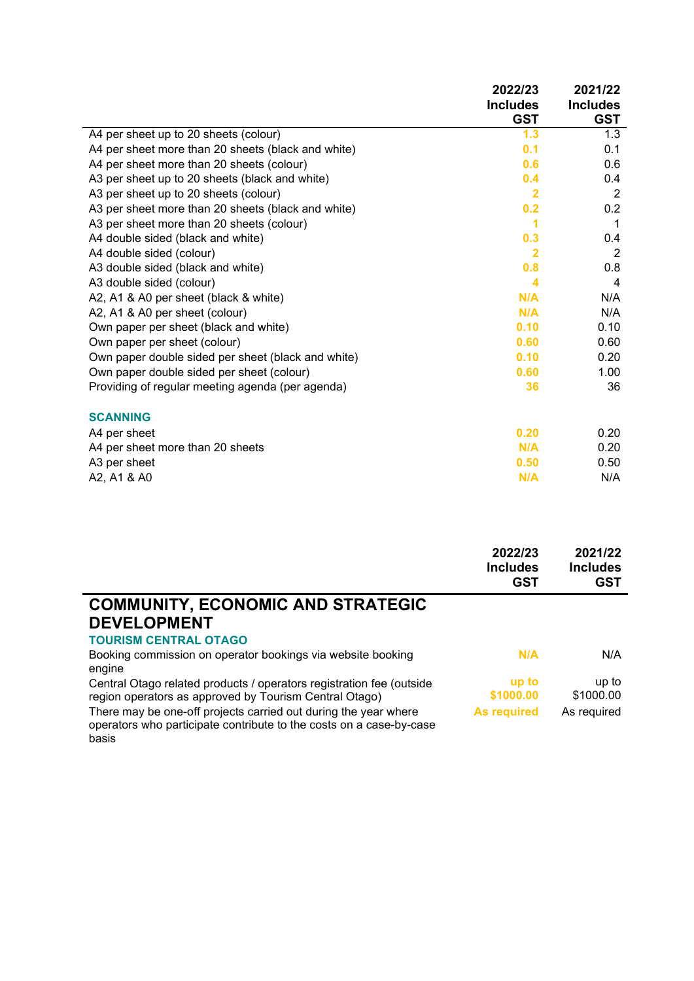|                                                    | 2022/23<br><b>Includes</b><br><b>GST</b> | 2021/22<br><b>Includes</b><br><b>GST</b> |
|----------------------------------------------------|------------------------------------------|------------------------------------------|
| A4 per sheet up to 20 sheets (colour)              | 1.3                                      | 1.3                                      |
| A4 per sheet more than 20 sheets (black and white) | 0.1                                      | 0.1                                      |
| A4 per sheet more than 20 sheets (colour)          | 0.6                                      | 0.6                                      |
| A3 per sheet up to 20 sheets (black and white)     | 0.4                                      | 0.4                                      |
| A3 per sheet up to 20 sheets (colour)              | $\overline{\mathbf{2}}$                  | $\overline{2}$                           |
| A3 per sheet more than 20 sheets (black and white) | 0.2                                      | 0.2                                      |
| A3 per sheet more than 20 sheets (colour)          | 1                                        | 1                                        |
| A4 double sided (black and white)                  | 0.3                                      | 0.4                                      |
| A4 double sided (colour)                           | $\overline{\mathbf{2}}$                  | $\overline{2}$                           |
| A3 double sided (black and white)                  | 0.8                                      | 0.8                                      |
| A3 double sided (colour)                           | 4                                        | 4                                        |
| A2, A1 & A0 per sheet (black & white)              | N/A                                      | N/A                                      |
| A2, A1 & A0 per sheet (colour)                     | N/A                                      | N/A                                      |
| Own paper per sheet (black and white)              | 0.10                                     | 0.10                                     |
| Own paper per sheet (colour)                       | 0.60                                     | 0.60                                     |
| Own paper double sided per sheet (black and white) | 0.10                                     | 0.20                                     |
| Own paper double sided per sheet (colour)          | 0.60                                     | 1.00                                     |
| Providing of regular meeting agenda (per agenda)   | 36                                       | 36                                       |
| <b>SCANNING</b>                                    |                                          |                                          |
| A4 per sheet                                       | 0.20                                     | 0.20                                     |
| A4 per sheet more than 20 sheets                   | N/A                                      | 0.20                                     |
| A3 per sheet                                       | 0.50                                     | 0.50                                     |
| A2, A1 & A0                                        | N/A                                      | N/A                                      |

|                                                                                                                                        | 2022/23<br><b>Includes</b><br><b>GST</b> | 2021/22<br><b>Includes</b><br><b>GST</b> |
|----------------------------------------------------------------------------------------------------------------------------------------|------------------------------------------|------------------------------------------|
| <b>COMMUNITY, ECONOMIC AND STRATEGIC</b>                                                                                               |                                          |                                          |
| <b>DEVELOPMENT</b>                                                                                                                     |                                          |                                          |
| <b>TOURISM CENTRAL OTAGO</b>                                                                                                           |                                          |                                          |
| Booking commission on operator bookings via website booking<br>engine                                                                  | N/A                                      | N/A                                      |
| Central Otago related products / operators registration fee (outside                                                                   | up to                                    | up to                                    |
| region operators as approved by Tourism Central Otago)                                                                                 | \$1000.00                                | \$1000.00                                |
| There may be one-off projects carried out during the year where<br>operators who participate contribute to the costs on a case-by-case | <b>As required</b>                       | As required                              |

basis